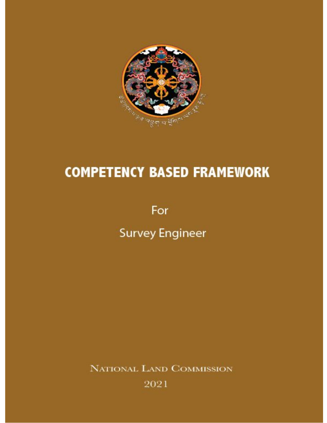

## **COMPETENCY BASED FRAMEWORK**

For

**Survey Engineer** 

NATIONAL LAND COMMISSION

2021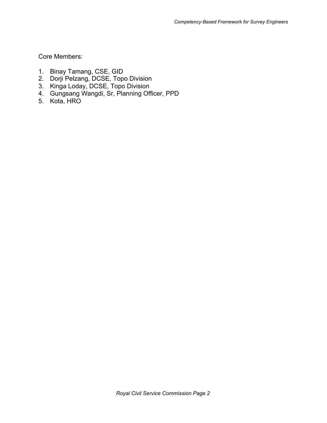Core Members:

- 1. Binay Tamang, CSE, GID
- 2. Dorji Pelzang, DCSE, Topo Division
- 3. Kinga Loday, DCSE, Topo Division
- 4. Gungsang Wangdi, Sr, Planning Officer, PPD
- 5. Kota, HRO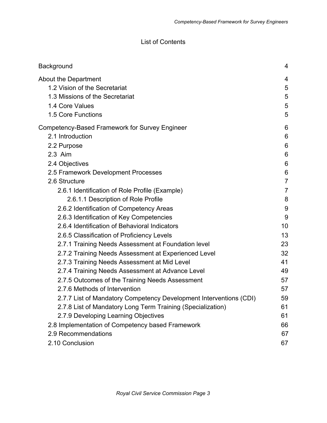## List of Contents

| Background                                                                                                                            | 4                        |
|---------------------------------------------------------------------------------------------------------------------------------------|--------------------------|
| About the Department                                                                                                                  | 4                        |
| 1.2 Vision of the Secretariat                                                                                                         | 5                        |
| 1.3 Missions of the Secretariat                                                                                                       | 5                        |
| 1.4 Core Values                                                                                                                       | 5                        |
| 1.5 Core Functions                                                                                                                    | 5                        |
| Competency-Based Framework for Survey Engineer                                                                                        | 6                        |
| 2.1 Introduction                                                                                                                      | 6                        |
| 2.2 Purpose                                                                                                                           | 6                        |
| 2.3 Aim                                                                                                                               | $6\phantom{1}6$          |
| 2.4 Objectives                                                                                                                        | 6                        |
| 2.5 Framework Development Processes                                                                                                   | $6\phantom{1}6$          |
| 2.6 Structure                                                                                                                         | $\overline{7}$           |
| 2.6.1 Identification of Role Profile (Example)<br>2.6.1.1 Description of Role Profile                                                 | $\overline{7}$<br>8<br>9 |
| 2.6.2 Identification of Competency Areas<br>2.6.3 Identification of Key Competencies<br>2.6.4 Identification of Behavioral Indicators | 9<br>10                  |
| 2.6.5 Classification of Proficiency Levels                                                                                            | 13                       |
| 2.7.1 Training Needs Assessment at Foundation level                                                                                   | 23                       |
| 2.7.2 Training Needs Assessment at Experienced Level                                                                                  | 32                       |
| 2.7.3 Training Needs Assessment at Mid Level                                                                                          | 41                       |
| 2.7.4 Training Needs Assessment at Advance Level                                                                                      | 49                       |
| 2.7.5 Outcomes of the Training Needs Assessment                                                                                       | 57                       |
| 2.7.6 Methods of Intervention                                                                                                         | 57                       |
| 2.7.7 List of Mandatory Competency Development Interventions (CDI)                                                                    | 59                       |
| 2.7.8 List of Mandatory Long Term Training (Specialization)                                                                           | 61                       |
| 2.7.9 Developing Learning Objectives                                                                                                  | 61                       |
| 2.8 Implementation of Competency based Framework                                                                                      | 66                       |
| 2.9 Recommendations                                                                                                                   | 67                       |
| 2.10 Conclusion                                                                                                                       | 67                       |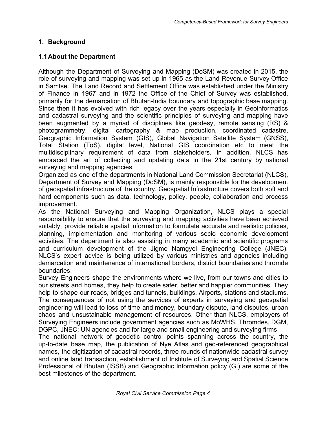## <span id="page-3-0"></span>**1. Background**

## <span id="page-3-1"></span>**1.1About the Department**

Although the Department of Surveying and Mapping (DoSM) was created in 2015, the role of surveying and mapping was set up in 1965 as the Land Revenue Survey Office in Samtse. The Land Record and Settlement Office was established under the Ministry of Finance in 1967 and in 1972 the Office of the Chief of Survey was established, primarily for the demarcation of Bhutan-India boundary and topographic base mapping. Since then it has evolved with rich legacy over the years especially in Geoinformatics and cadastral surveying and the scientific principles of surveying and mapping have been augmented by a myriad of disciplines like geodesy, remote sensing (RS) & photogrammetry, digital cartography & map production, coordinated cadastre, Geographic Information System (GIS), Global Navigation Satellite System (GNSS), Total Station (ToS), digital level, National GIS coordination etc to meet the multidisciplinary requirement of data from stakeholders. In addition, NLCS has embraced the art of collecting and updating data in the 21st century by national surveying and mapping agencies.

Organized as one of the departments in National Land Commission Secretariat (NLCS), Department of Survey and Mapping (DoSM), is mainly responsible for the development of geospatial infrastructure of the country. Geospatial Infrastructure covers both soft and hard components such as data, technology, policy, people, collaboration and process improvement.

As the National Surveying and Mapping Organization, NLCS plays a special responsibility to ensure that the surveying and mapping activities have been achieved suitably, provide reliable spatial information to formulate accurate and realistic policies, planning, implementation and monitoring of various socio economic development activities. The department is also assisting in many academic and scientific programs and curriculum development of the Jigme Namgyel Engineering College (JNEC). NLCS's expert advice is being utilized by various ministries and agencies including demarcation and maintenance of international borders, district boundaries and thromde boundaries.

Survey Engineers shape the environments where we live, from our towns and cities to our streets and homes, they help to create safer, better and happier communities. They help to shape our roads, bridges and tunnels, buildings, Airports, stations and stadiums. The consequences of not using the services of experts in surveying and geospatial engineering will lead to loss of time and money, boundary dispute, land disputes, urban chaos and unsustainable management of resources. Other than NLCS, employers of Surveying Engineers include government agencies such as MoWHS, Thromdes, DGM, DGPC, JNEC; UN agencies and for large and small engineering and surveying firms

The national network of geodetic control points spanning across the country, the up-to-date base map, the publication of Nye Atlas and geo-referenced geographical names, the digitization of cadastral records, three rounds of nationwide cadastral survey and online land transaction, establishment of Institute of Surveying and Spatial Science Professional of Bhutan (ISSB) and Geographic Information policy (GI) are some of the best milestones of the department.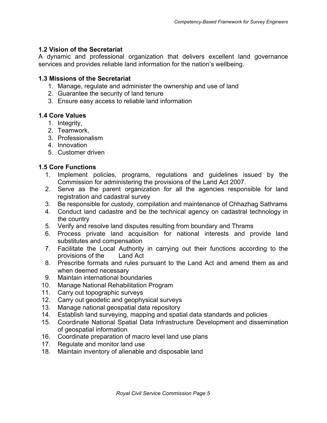## <span id="page-4-0"></span>**1.2 Vision of the Secretariat**

A dynamic and professional organization that delivers excellent land governance services and provides reliable land information for the nation's wellbeing.

## <span id="page-4-1"></span>**1.3 Missions of the Secretariat**

- 1. Manage, regulate and administer the ownership and use of land
- 2. Guarantee the security of land tenure
- 3. Ensure easy access to reliable land information

## <span id="page-4-2"></span>**1.4 Core Values**

- 1. Integrity,
- 2. Teamwork,
- 3. Professionalism
- 4. Innovation
- 5. Customer driven

## <span id="page-4-3"></span>**1.5 Core Functions**

- 1. Implement policies, programs, regulations and guidelines issued by the Commission for administering the provisions of the Land Act 2007.
- 2. Serve as the parent organization for all the agencies responsible for land registration and cadastral survey
- 3. Be responsible for custody, compilation and maintenance of Chhazhag Sathrams
- 4. Conduct land cadastre and be the technical agency on cadastral technology in the country
- 5. Verify and resolve land disputes resulting from boundary and Thrams
- 6. Process private land acquisition for national interests and provide land substitutes and compensation
- 7. Facilitate the Local Authority in carrying out their functions according to the provisions of the Land Act
- 8. Prescribe formats and rules pursuant to the Land Act and amend them as and when deemed necessary
- 9. Maintain international boundaries
- 10. Manage National Rehabilitation Program
- 11. Carry out topographic surveys
- 12. Carry out geodetic and geophysical surveys
- 13. Manage national geospatial data repository
- 14. Establish land surveying, mapping and spatial data standards and policies
- 15. Coordinate National Spatial Data Infrastructure Development and dissemination of geospatial information
- 16. Coordinate preparation of macro level land use plans
- 17. Regulate and monitor land use
- 18. Maintain inventory of alienable and disposable land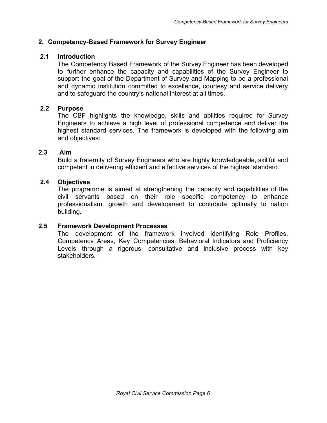## <span id="page-5-0"></span>**2. Competency-Based Framework for Survey Engineer**

## <span id="page-5-1"></span> **2.1 Introduction**

The Competency Based Framework of the Survey Engineer has been developed to further enhance the capacity and capabilities of the Survey Engineer to support the goal of the Department of Survey and Mapping to be a professional and dynamic institution committed to excellence, courtesy and service delivery and to safeguard the country's national interest at all times.

## <span id="page-5-2"></span> **2.2 Purpose**

The CBF highlights the knowledge, skills and abilities required for Survey Engineers to achieve a high level of professional competence and deliver the highest standard services. The framework is developed with the following aim and objectives:

## <span id="page-5-3"></span>**2.3 Aim**

Build a fraternity of Survey Engineers who are highly knowledgeable, skillful and competent in delivering efficient and effective services of the highest standard.

## <span id="page-5-4"></span> **2.4 Objectives**

The programme is aimed at strengthening the capacity and capabilities of the civil servants based on their role specific competency to enhance professionalism, growth and development to contribute optimally to nation building.

## <span id="page-5-5"></span>**2.5 Framework Development Processes**

The development of the framework involved identifying Role Profiles, Competency Areas, Key Competencies, Behavioral Indicators and Proficiency Levels through a rigorous, consultative and inclusive process with key stakeholders.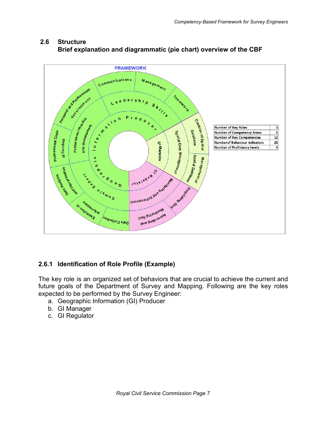

## <span id="page-6-0"></span> **2.6 Structure Brief explanation and diagrammatic (pie chart) overview of the CBF**

## <span id="page-6-1"></span>**2.6.1 Identification of Role Profile (Example)**

The key role is an organized set of behaviors that are crucial to achieve the current and future goals of the Department of Survey and Mapping. Following are the key roles expected to be performed by the Survey Engineer:

- a. Geographic Information (GI) Producer
- b. GI Manager
- c. GI Regulator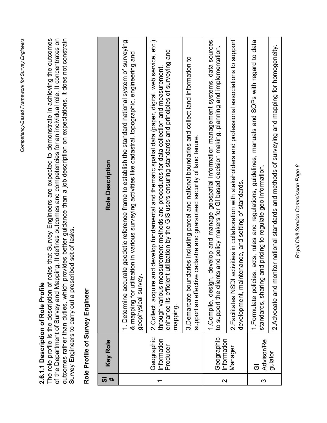## 2.6.1.1 Description of Role Profile **2.6.1.1 Description of Role Profile**

<span id="page-7-0"></span>outcomes rather than duties, which provides better guidance than a job description on expectations. It does not constrain<br>Survey Engineers to carry out a prescribed set of tasks. The role profile is the description of roles that Survey Engineers are expected to demonstrate in achieving the outcomes of the Department of Survey and Mapping. It defines outcomes and competencies for an individual role. It concentrates on The role profile is the description of roles that Survey Engineers are expected to demonstrate in achieving the outcomes of the Department of Survey and Mapping. It defines outcomes and competencies for an individual role. It concentrates on outcomes rather than duties, which provides better guidance than a job description on expectations. It does not constrain Survey Engineers to carry out a prescribed set of tasks.

## Role Profile of Survey Engineer **Role Profile of Survey Engineer**

| ທ | <b>Key Role</b>                       | <b>Role Description</b>                                                                                                                                                                                                                                                                                                       |
|---|---------------------------------------|-------------------------------------------------------------------------------------------------------------------------------------------------------------------------------------------------------------------------------------------------------------------------------------------------------------------------------|
|   |                                       | rate geodetic reference frame to establish the standard national system of surveying<br>& mapping for utilization in various surveying activities like cadastral, topographic, engineering and<br>1. Determine accur<br>geophysical survey                                                                                    |
|   | Geographic<br>Information<br>Producer | 2. Collect, acquire and develop fundamental and thematic spatial data (paper, digital, web service, etc.)<br>enhance its efficient utilization by the GIS users ensuring standards and principles of surveying and<br>asurement methods and procedures for data collection and measurement.<br>through various me<br>mapping. |
|   |                                       | 3. Demarcate boundaries including parcel and national boundaries and collect land information to<br>support an effective cadastre and guaranteed security of land tenure.                                                                                                                                                     |
| ົ | Geographic<br>Information             | develop and manage geospatial information management systems, data sources<br>ts and policy makers for GI based decision making, planning and implementation.<br>1. Compile, design,<br>to support the clien                                                                                                                  |
|   | Manager                               | activities in collaboration with stakeholders and professional associations to support<br>development, maintenance, and setting of standards<br>2. Facilitates NSDI                                                                                                                                                           |
| ო | <b>Advisor/Re</b><br>ت                | 1. Formulate policies, acts, rules and regulations, guidelines, manuals and SOPs with regard to data<br>and pricing to regulate geo information<br>standards, sharing                                                                                                                                                         |
|   | gulator                               | 2. Advocate and monitor national standards and methods of surveying and mapping for homogeneity                                                                                                                                                                                                                               |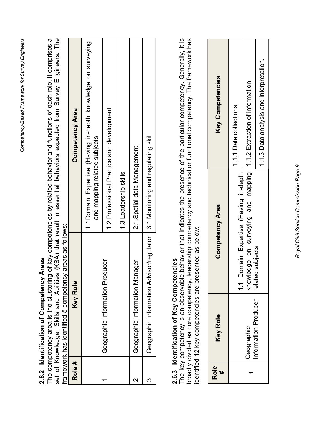## 2.6.2 Identification of Competency Areas **2.6.2 Identification of Competency Areas**

<span id="page-8-0"></span>The competency area is the clustering of key competencies by related behavior and functions of each role. It comprises a set of Knowledge, Skills and Abilities (KSA) that result in essential behaviors expected from Survey Engineers. The The competency area is the clustering of key competencies by related behavior and functions of each role. It comprises a<br>ممثل مذ المصنام عمد الطلب مصط الطلبية من الذكر المعاملة المصنعية المصنعية مصنعية من المعاملة المصنعية set of Knowledge, Skills and Abilities (KSA) that result in essential behaviors expected from Survey Engineers. The<br>framework has identified 5 competency areas as follows: framework has identified 5 competency areas as follows: framework has identified 5 competency areas as follows:

|                     | <b>DESCRIPTION OF DESCRIPTION OF A SERVICE SERVICE SERVICE SERVICE SERVICE SERVICE SERVICE SERVICE SERVICE SERVICE</b> |                                                                                              |
|---------------------|------------------------------------------------------------------------------------------------------------------------|----------------------------------------------------------------------------------------------|
| Role#               | <b>Key Role</b>                                                                                                        | <b>Competency Area</b>                                                                       |
|                     |                                                                                                                        | 1.1 Domain Expertise (Having in-depth knowledge on surveying<br>and mapping related subjects |
|                     | Geographic Information Producer                                                                                        | 1.2 Professional Practice and development                                                    |
|                     |                                                                                                                        | 1.3 Leadership skills                                                                        |
| $\boldsymbol{\sim}$ | Geographic Information Manager                                                                                         | 2.1. Spatial data Management                                                                 |
|                     | Geographic Information Advisor/regulator   3.1 Monitoring and regulating skill                                         |                                                                                              |

## 2.6.3 Identification of Key Competencies **2.6.3 Identification of Key Competencies**

<span id="page-8-1"></span>The key competency is an observable behavior that indicates the presence of the particular competency. Generally, it is broadly divided as core competency, leadership competency and technical or functional competency. The framework has The key competency is an observable behavior that indicates the presence of the particular competency. Generally, it is<br>Erective divided broadly divided as core competency, leadership competency and technical or functional competency. The framework has identified 12 key competencies are presented as below: identified 12 key competencies are presented as below:

| Key Competencies | 1.1.1 Data collections            |                                                                   | 1.1.3 Data analysis and interpretation. |
|------------------|-----------------------------------|-------------------------------------------------------------------|-----------------------------------------|
| Competency Area  | Domain Expertise (Having in-depth | mowledge on surveying and mapping 1.1.2 Extraction of information | related subjects                        |
| <b>Key Role</b>  |                                   | Geographic<br>nformation Producer                                 |                                         |
| <b>Role</b><br># |                                   |                                                                   |                                         |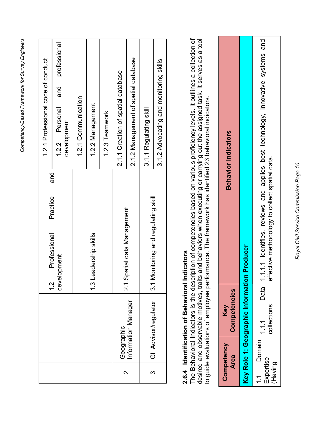| J<br>:<br><br>١               |
|-------------------------------|
| :<br>,<br>י המיי ליווחים<br>1 |
| - רח רח הוא וח<br>l           |
| -<br>קיסים<br>I<br>I          |
| <b>. המחמה</b>                |

|                   |                      |                                                  | 1.2.1 Professional code of conduct                   |
|-------------------|----------------------|--------------------------------------------------|------------------------------------------------------|
|                   |                      | and<br>Practice<br>Professional<br>$\frac{1}{2}$ |                                                      |
|                   |                      | development                                      | professional<br>and<br>1.2.2 Personal<br>development |
|                   |                      |                                                  | 1.2.1 Communication                                  |
|                   |                      | 1.3 Leadership skills                            | 1.2.2 Management                                     |
|                   |                      |                                                  | 1.2.3 Teamwork                                       |
| $\mathbf{\Omega}$ | Geographic           | 2.1.Spatial data Management                      | 2.1.1 Creation of spatial database                   |
|                   | Information Manager  |                                                  | 2.1.2 Management of spatial database                 |
| က                 | GI Advisor/regulator | 3.1 Monitoring and regulating skill              | 3.1.1 Regulating skill                               |
|                   |                      |                                                  | 3.1.2 Advocating and monitoring skills               |

## **2.6.4 Identification of Behavioral Indicators**

<span id="page-9-0"></span>2.6.4 Identification of Behavioral Indicators<br>The Behavioral Indicators is the description of competencies based on various proficiency levels. It outlines a collection of<br>desired and about the setting the description of c desired and observable motives, traits and behaviors when executing or carrying out the assigned task. It serves as a tool<br>to guide evaluations of employee performance. The framework has identified 23 behavioral indicators The Behavioral Indicators is the description of competencies based on various proficiency levels. It outlines a collection of desired and observable motives, traits and behaviors when executing or carrying out the assigned task. It serves as a tool to guide evaluations of employee performance. The framework has identified 23 behavioral indicators.

| <b>Behavior Indicators</b> |                                    | 1.1.1 Identifies, reviews and applies best technology, innovative systems and<br>ffective methodology to collect spatial data. |
|----------------------------|------------------------------------|--------------------------------------------------------------------------------------------------------------------------------|
|                            |                                    |                                                                                                                                |
|                            | n Producer                         |                                                                                                                                |
|                            |                                    | Φ                                                                                                                              |
|                            |                                    | Data<br>                                                                                                                       |
| Competencies<br>Key        |                                    | collections                                                                                                                    |
| Competency<br><b>Area</b>  | Key Role 1: Geographic Information | 1 1 Domain $ 1,1,1$<br>Expertise<br>(Having                                                                                    |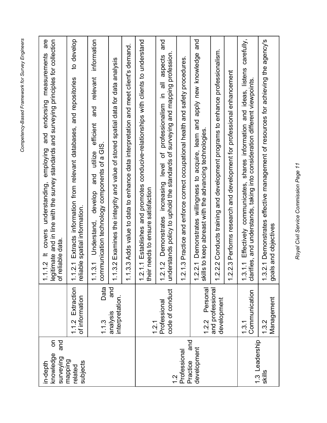| δ<br>and<br>knowledge<br>surveying<br>in-depth |                                    | are<br>legitimate and in line with the survey standards and surveying principles for collection<br>and endorsing measurements<br>employing<br>covers understanding,<br>of reliable data<br>$1.1.2$ It<br>$\div$ |
|------------------------------------------------|------------------------------------|-----------------------------------------------------------------------------------------------------------------------------------------------------------------------------------------------------------------|
| mapping<br>subjects<br>related                 | 1.1.2 Extraction<br>of information | to develop<br>Extracts information from relevant databases, and repositories<br>spatial information<br>reliable<br>1.2.1                                                                                        |
|                                                | Data<br>1.1.3                      | information<br>relevant<br>and<br>efficient<br>communication technology components of a GIS<br>utilize<br>and<br>develop<br>Understand,<br>1.3.1<br>$\div$                                                      |
|                                                | and<br>interpretation<br>analysis  | 1.3.2 Examines the integrity and value of stored spatial data for data analysis<br>$\div$                                                                                                                       |
|                                                |                                    | 1.3.3 Adds value to data to enhance data interpretation and meet client's demand.<br>$\overline{\phantom{0}}$                                                                                                   |
|                                                | 1.2.1                              | 2.1.1 Establishes and promotes conducive-relationships with clients to understand<br>eir needs to ensure satisfaction<br>$\div$<br>≞                                                                            |
| $\frac{2}{1}$                                  | code of conduct<br>Professional    | pue<br>nderstands policy to uphold the standards of surveying and mapping profession<br>aspects<br>$\overline{5}$<br>⊇.<br>professionalism<br>Demonstrates increasing level of<br>2.12                          |
| pue<br>Professional                            |                                    | Practice and enforce correct occupational health and safety procedures<br>2.1.3<br>$\overline{\phantom{0}}$                                                                                                     |
| development<br>Practice                        | Personal<br>1.2.2                  | pue<br>apply new knowledge<br>Demonstrates willingness to acquire, learn and<br>skills to keep abreast with the advancing technologies<br>2.2.1<br>$\overline{\phantom{0}}$                                     |
|                                                | and professional<br>development    | 2.2.2 Conducts training and development programs to enhance professionalism.<br>$\overline{\phantom{0}}$                                                                                                        |
|                                                |                                    | Performs research and development for professional enhancement<br>2.3<br>$\overline{\phantom{0}}$                                                                                                               |
| 1.3 Leadership                                 | Communication<br>1.3.1             | Effectively communicates, shares information and ideas, listens carefully,<br>clarifies, and understands, taking into consideration different viewpoints<br>.3.1.1<br>$\overline{\phantom{0}}$                  |
| skills                                         | Management<br>1.3.2                | 3.2.1 Demonstrates effective management of resources for achieving the agency's<br>goals and objectives<br>$\div$                                                                                               |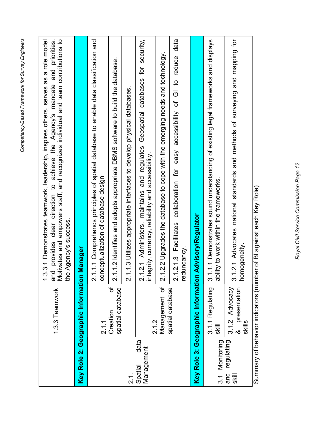|                               | 1.3.3 Teamwork                                     | and provides clear direction to achieve the Agency's mandate and priorities.<br>Motivates and empowers staff, and recognizes individual and team contributions to<br>1.3.3.1 Demonstrates teamwork, leadership, inspires others, serves as a role model<br>the Agency's success. |
|-------------------------------|----------------------------------------------------|----------------------------------------------------------------------------------------------------------------------------------------------------------------------------------------------------------------------------------------------------------------------------------|
|                               | Key Role 2: Geographic Information                 | Manager                                                                                                                                                                                                                                                                          |
|                               | 2.1.1                                              | 2.1.1.1 Comprehends principles of spatial database to enable data classification and<br>nceptualization of database design<br>8                                                                                                                                                  |
|                               | ৳<br>spatial database<br>Creation                  | 2.1.1.2 Identifies and adopts appropriate DBMS software to build the database.                                                                                                                                                                                                   |
| ب<br>2.i                      |                                                    | 2.1.1.3 Utilizes appropriate interfaces to develop physical databases.                                                                                                                                                                                                           |
| data<br>Management<br>Spatial | 2.1.2                                              | 2.1.2.1 Administers, maintains and regulates Geospatial databases for security,<br>integrity, currency, reliability and accessibility.                                                                                                                                           |
|                               | Management of                                      | 1.2.2 Upgrades the database to cope with the emerging needs and technology<br>$\overline{\mathbf{v}}$                                                                                                                                                                            |
|                               | spatial database                                   | accessibility of GI to reduce data<br>2.1.2.1.3 Facilitates collaboration for easy<br>redundancy.                                                                                                                                                                                |
|                               | Key Role 3: Geographic Information                 | <b>Advisory/Regulator</b>                                                                                                                                                                                                                                                        |
| 3.1 Monitoring                | 3.1.1 Regulating<br><b>Skill</b>                   | 3.1.1.1 Demonstrates sound understanding of existing legal frameworks and displays<br>ability to work within the frameworks.                                                                                                                                                     |
| regulating<br>and<br>skill    | presentation<br>3.1.2 Advocacy<br>skills<br>.<br>ත | 3.1.2.1 Advocates national standards and methods of surveying and mapping for<br>homogeneity                                                                                                                                                                                     |

Summary of behavior indicators (number of BI against each Key Role)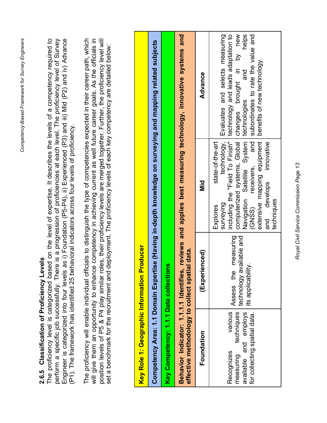| ì<br>יים היי המונה בי<br>١            |
|---------------------------------------|
| An Cunnion<br>;<br>;<br>$\frac{1}{2}$ |
| <u>יים ומח</u> רה באו ביום אי         |
| ר<br>המהים<br>)<br>)<br>!             |
| l-vonatanno.<br>1                     |

## 2.6.5 Classification of Proficiency Levels **2.6.5 Classification of Proficiency Levels**

<span id="page-12-0"></span>Engineer is categorized into four levels as i) Foundation (P5-P4), ii) Experienced (P3) and iii) Mid (P2) and iv) Advance The proficiency level is categorized based on the level of expertise. It describes the levels of a competency required to perform a specific job successfully. There is a progression of proficiencies at each level. The proficiency level of Survey The proficiency level is categorized based on the level of expertise. It describes the levels of a competency required to perform a specific job successfully. There is a progression of proficiencies at each level. The proficiency level of Survey<br>Fnoineer is categorized into four levels as i) Foundation (P5-P4). ii) Fxperienced (P3) and iii) M Engineer is categorized into four levels as i) Foundation (P5-P4), ii) Experienced (P3) and iii) Mid (P2) and iv) Advance (P1). The framework has identified 25 behavioral indicators across four levels of proficiency. (P1). The framework has identified 25 behavioral indicators across four levels of proficiency.

will give them an opportunity to enhance competency in achieving current as well future career goals. As the officials in The proficiency will enable individual officials to distinguish the type of competencies expected in their career path, which position levels of P5 & P4 play similar roles, their proficiency levels are merged together. Further, the proficiency level will The proficiency will enable individual officials to distinguish the type of competencies expected in their career path, which will give them an opportunity to enhance competency in achieving current as well future career goals. As the officials in<br>position levels of P5 & P4 play similar roles, their proficiency levels are merged together. Further position levels of P5 & P4 play similar roles, their proficiency levels are merged together. Further, the proficiency level will<br>eet a benchmark for the recruitment and deplowment. The proficiency levels of each key compet set a benchmark for the recruitment and deployment. The proficiency levels of each key competency are detailed below: set a benchmark for the recruitment and deployment. The proficiency levels of each key competency are detailed below:

| Key Role 1: Geographic Information Producer                                                                      |                                                                           |                                                                                                                                                                                                                                                                 |                                                                                                                                                                                                                      |
|------------------------------------------------------------------------------------------------------------------|---------------------------------------------------------------------------|-----------------------------------------------------------------------------------------------------------------------------------------------------------------------------------------------------------------------------------------------------------------|----------------------------------------------------------------------------------------------------------------------------------------------------------------------------------------------------------------------|
| Competency Area: 1.1 Domain Experti                                                                              |                                                                           |                                                                                                                                                                                                                                                                 | ise (Having in-depth knowledge on surveying and mapping related subjects                                                                                                                                             |
| Key Competency: 1.1.1 Data collection                                                                            | ဗူ                                                                        |                                                                                                                                                                                                                                                                 |                                                                                                                                                                                                                      |
| effective methodology to collect spatial data.<br>Behavior Indicator: 1.1.1.1 Identifies,                        |                                                                           |                                                                                                                                                                                                                                                                 | reviews and applies best measuring technology, innovative systems and                                                                                                                                                |
| Foundation                                                                                                       | (Experienced)                                                             | <b>Di</b> N                                                                                                                                                                                                                                                     | Advance                                                                                                                                                                                                              |
| techniques<br>various<br>available and employs<br>for collecting spatial data.<br><b>Recognizes</b><br>measuring | measuring<br>technology available and<br>its applicability.<br>Assess the | Navigation Satellite System technologies<br>including the "Field To Finish"<br>technology,<br>$\frac{1}{2}$<br>extensive mapping equipment<br>state-of-the-art<br>innovative<br>receivers,<br>and develops<br>topholicum.com<br>surveying<br>(GNSS)<br>Explores | computerized systems, Global changes brought in by new<br>Evaluates and selects measuring<br>technology and leads adaptation to<br>helps<br>subordinates to rate the value and<br>benefits of new technology.<br>and |

Royal Civil Service Commission Page 13 *Royal Civil Service Commission Page 13*

techniques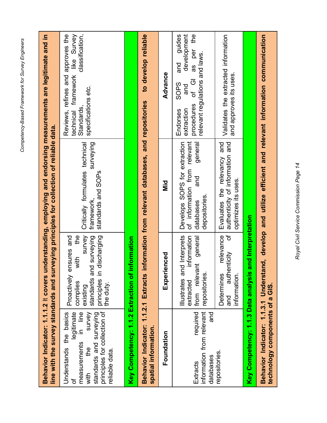| Behavior Indicator: 1.1.1.2 It covers                                                                                                                                   |                                                                                                                                                                | line with the survey standards and surveying principles for collection of reliable data.                       | understanding, employing and endorsing measurements are legitimate and in                                                                               |
|-------------------------------------------------------------------------------------------------------------------------------------------------------------------------|----------------------------------------------------------------------------------------------------------------------------------------------------------------|----------------------------------------------------------------------------------------------------------------|---------------------------------------------------------------------------------------------------------------------------------------------------------|
| principles for collection of<br>legitimate<br>Understands the basics<br>measurements in line<br>standards and surveying<br>survey<br>the<br>f<br>reliable data.<br>with | $\frac{6}{10}$<br>survey<br>discharging<br>ensures and<br>standards and surveying<br>with<br>principles in<br>the duty.<br>Proactively<br>complies<br>existing | surveying<br>Critically formulates technical<br>standards and SOPs<br>framework,                               | Reviews, refines and approves the<br>framework like Survey<br>classification,<br>specifications etc.<br>Standards<br>technical                          |
| Key Competency: 1.1.2 Extraction of                                                                                                                                     | information                                                                                                                                                    |                                                                                                                |                                                                                                                                                         |
| Behavior Indicator: 1.1.2.1 Extracts<br>spatial information.                                                                                                            |                                                                                                                                                                | information from relevant databases, and repositories                                                          | to develop reliable                                                                                                                                     |
| Foundation                                                                                                                                                              | enced<br>Experi                                                                                                                                                | <b>Di</b><br>Ni                                                                                                | Advance                                                                                                                                                 |
| information from relevant<br>required<br>and<br>databases<br>Extracts                                                                                                   | Illustrates and Interprets<br>information<br>general<br>from relevant<br>repositories.<br>extracted                                                            | relevant<br>Develops SOPS for extraction<br>general<br>of information from<br>and<br>depositories<br>databases | e4<br>quides<br>development<br>per<br>relevant regulations and laws.<br>and<br>as<br>GIGI<br>SOPS<br>and<br>procedures<br>extraction<br><b>Endorses</b> |
| repositories                                                                                                                                                            | đ<br>relevance<br>authenticity<br>information.<br><b>Determines</b><br>and                                                                                     | authenticity of information and<br>and<br>Evaluates the relevancy<br>optimizes its uses                        | Validates the extracted information<br>and approves its uses.                                                                                           |
| Key Competency: 1.1.3 Data analysis                                                                                                                                     | and Interpretation                                                                                                                                             |                                                                                                                |                                                                                                                                                         |
| technology components of a GIS.                                                                                                                                         |                                                                                                                                                                |                                                                                                                | Behavior Indicator: 1.1.3.1 Understand, develop and utilize efficient and relevant information communication                                            |

Royal Civil Service Commission Page 14 *Royal Civil Service Commission Page 14*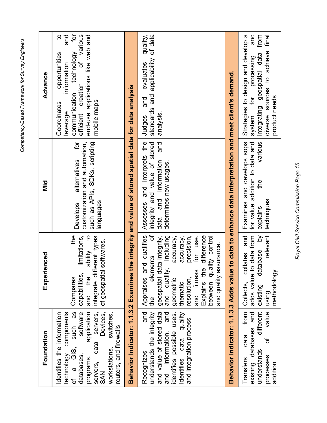| Foundation                                                                                                                                                                                                                                      | Experienced                                                                                                                                                                                                                                                                                           | Did                                                                                                                   | Advance                                                                                                                                                                                                         |
|-------------------------------------------------------------------------------------------------------------------------------------------------------------------------------------------------------------------------------------------------|-------------------------------------------------------------------------------------------------------------------------------------------------------------------------------------------------------------------------------------------------------------------------------------------------------|-----------------------------------------------------------------------------------------------------------------------|-----------------------------------------------------------------------------------------------------------------------------------------------------------------------------------------------------------------|
| software<br>application<br>of a GIS, such as<br>servers,<br>technology components<br>dentifies the information<br>Devices,<br>switches,<br>routers, and firewalls<br>data<br>workstations,<br>databases,<br>programs,<br>servers,<br><b>SAN</b> | the<br>limitations,<br>$\sigma$<br>integrate different types<br>I softwares.<br>ability<br>of geospatial<br>capabilities,<br>Compares<br>and the                                                                                                                                                      | ğ<br>customization and automation,<br>such as APIs, SDKs, scripting<br>alternatives<br>languages<br><b>Develops</b>   | ğ<br>various<br>$\mathbf{a}$<br>end-use applications like web and<br>and<br>technology<br>opportunities<br>ð<br>information<br>creation<br>communication<br>mobile maps<br>Coordinates<br>efficient<br>leverage |
| Behavior Indicator: 1.1.3.2 Examines                                                                                                                                                                                                            |                                                                                                                                                                                                                                                                                                       | the integrity and value of stored spatial data for data analysis                                                      |                                                                                                                                                                                                                 |
| and<br>and<br>and value of stored data<br>Identifies data quality<br>identifies possible uses.<br>understands the integrity<br>and integration process<br>and information,<br>Recognizes                                                        | ð<br>Appraises and qualifies<br>precision,<br>accuracy,<br>Explains the difference<br>geospatial data integrity,<br>accuracy,<br>for use.<br>including<br>between quality control<br>and quality assurance.<br>elements<br>and quality,<br>and fitness<br>resolution,<br>geometric<br>thematic<br>the | Assesses and interprets the<br>integrity and value of stored<br>and<br>data and information<br>determines new usages. | quality,<br>standards and applicability of data<br>evaluates<br>and<br>analysis<br>Judges                                                                                                                       |
|                                                                                                                                                                                                                                                 |                                                                                                                                                                                                                                                                                                       | Behavior Indicator: 1.1.3.3 Adds value to data to enhance data interpretation and meet client's demand.               |                                                                                                                                                                                                                 |
| from<br>different<br>value<br>existing databases and<br>data<br>ð<br>understands<br>processes<br>Transfers<br>addition                                                                                                                          | to data from<br>existing database by<br>relevant<br>and<br>collates<br>methodology<br>adds value<br>Collects,<br>using                                                                                                                                                                                | various<br>Examines and develops sops<br>for value addition to data and<br>the<br>techniques<br>explains              | and<br>from<br>final<br>Strategies to design and develop a<br>diverse sources to achieve<br>integrating geospatial data<br>for processing<br>product needs<br>system                                            |

Royal Civil Service Commission Page 15 *Royal Civil Service Commission Page 15*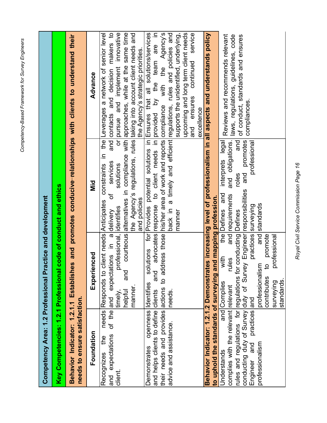|                                                                                  | Competency Area: 1.2 Professional Practice and development                                                                     |                                                                                                       |                                                                                                                                                                                                                                                                                                                   |
|----------------------------------------------------------------------------------|--------------------------------------------------------------------------------------------------------------------------------|-------------------------------------------------------------------------------------------------------|-------------------------------------------------------------------------------------------------------------------------------------------------------------------------------------------------------------------------------------------------------------------------------------------------------------------|
| Key Competencies: 1.2.1 Professional                                             |                                                                                                                                | code of conduct and ethics                                                                            |                                                                                                                                                                                                                                                                                                                   |
| needs to ensure satisfaction.                                                    |                                                                                                                                |                                                                                                       | Behavior Indicator: 1.2.1.1 Establishes and promotes conducive-relationships with clients to understand their                                                                                                                                                                                                     |
| Foundation                                                                       | Experienced                                                                                                                    | Did<br>Nid                                                                                            | Advance                                                                                                                                                                                                                                                                                                           |
| of the and<br>needs<br>and expectations<br>the<br>Recognizes<br>client.          | professional, identifies<br>expectations in a delivery<br>and<br>Responds to<br>manner.<br>helpful<br>timely,                  | $\equiv$<br>services<br>client needs Anticipates constraints<br>solutions<br>$\sigma$<br>and policies | and contacts and decision makers to<br>or pursue and implement innovative<br>courteous alternatives in compliance with approaches, while at the same time<br>the Agency's regulations, rules taking into account client needs and<br>the Leverages a network of senior level<br>the Agency's strategic priorities |
| and helps clients to define clients<br>openness<br>Demonstrates                  | and<br>Identifies                                                                                                              |                                                                                                       | solutions for Provides potential solutions in Ensures that all solutions/services<br>$\equiv$<br>advocates response to client needs in provided by the team are                                                                                                                                                   |
| their needs and provides actions to ad<br>advice and assistance.                 | needs.                                                                                                                         |                                                                                                       | Idress those his/her area of work and reports compliance with the Agency's<br>back in a timely and efficient regulations, rules and policies and                                                                                                                                                                  |
|                                                                                  |                                                                                                                                | manner                                                                                                | supports the unidentified, underlying,<br>upcoming and long term client needs<br>service<br>and ensures continued                                                                                                                                                                                                 |
|                                                                                  |                                                                                                                                |                                                                                                       | excellence                                                                                                                                                                                                                                                                                                        |
| Behavior Indicator: 1.2.1.2 Demonstrat<br>to uphold the standards of surveying a | ind mapping profession.                                                                                                        |                                                                                                       | tes increasing level of professionalism in all aspects and understands policy                                                                                                                                                                                                                                     |
| complies with the relevant relevant<br>Understands                               | the ll<br>with<br>rules<br>and Complies                                                                                        | and obligations.<br>interprets legal<br>Defines and<br>and requirements                               | Reviews and recommends relevant<br>laws, regulations, guidelines, code                                                                                                                                                                                                                                            |
|                                                                                  | conducting duty of Survey cor Survey Engineer responsibilities<br>rules and regulations for regulations for conducting Defines | and promotes<br>and<br>roles                                                                          | of conduct, standards and ensures<br>compliances.                                                                                                                                                                                                                                                                 |
| practices and<br>Engineer and<br>professionalism                                 | practices surveying<br>professionalism                                                                                         | professional<br>and standards                                                                         |                                                                                                                                                                                                                                                                                                                   |
|                                                                                  | promote<br>g<br>contributes                                                                                                    |                                                                                                       |                                                                                                                                                                                                                                                                                                                   |
|                                                                                  | professional<br>standards.<br>surveying                                                                                        |                                                                                                       |                                                                                                                                                                                                                                                                                                                   |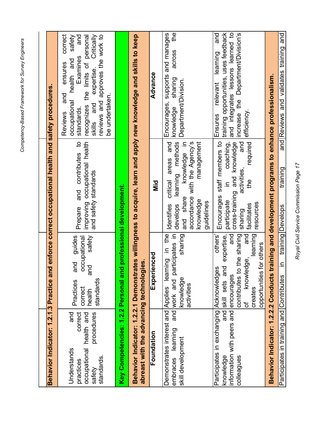|                                                                                                                            |                                                                                                                                                                  | Behavior Indicator: 1.2.1.3 Practice and enforce correct occupational health and safety procedures                                                                                        |                                                                                                                                                                                                                                                     |
|----------------------------------------------------------------------------------------------------------------------------|------------------------------------------------------------------------------------------------------------------------------------------------------------------|-------------------------------------------------------------------------------------------------------------------------------------------------------------------------------------------|-----------------------------------------------------------------------------------------------------------------------------------------------------------------------------------------------------------------------------------------------------|
| and<br>correct<br>procedures<br>health and<br>occupational<br>Understands<br>standards<br>practices<br>safety              | guides<br>safety<br>occupational<br>and<br>and<br>standards<br>Practices<br>correct<br>health                                                                    | improving occupational health<br>and contributes to<br>and safety standards<br>Prepare                                                                                                    | correct<br>Critically<br>reviews and approves the work to<br>safety<br>and<br>the limits of personal<br>Examines<br>health and<br>ensures<br>expertise.<br>and<br>be undertaken<br>occupational<br>recognizes<br>skills and<br>standards<br>Reviews |
|                                                                                                                            | Key Competencies: 1.2.2 Personal and professional development.                                                                                                   |                                                                                                                                                                                           |                                                                                                                                                                                                                                                     |
| abreast with the advancing technologies.                                                                                   |                                                                                                                                                                  |                                                                                                                                                                                           | Behavior Indicator: 1.2.2.1 Demonstrates willingness to acquire, learn and apply new knowledge and skills to keep                                                                                                                                   |
| Foundation                                                                                                                 | Experienced                                                                                                                                                      | Dilo                                                                                                                                                                                      | Advance                                                                                                                                                                                                                                             |
| Demonstrates interest and Applies learning<br>embraces learning<br>skill development                                       | in the<br>and work and participates in<br>sharing<br>knowledge<br>activities                                                                                     | learning methods<br>knowledge in<br>management<br>and<br>accordance with the Agency's<br>areas<br>critical<br>and share<br>knowledge<br>guidelines<br>develops<br>Identifies              | $\frac{1}{2}$<br>and manages<br>across<br>supports<br>sharing<br>Department/Division.<br>Encourages,<br>knowledge                                                                                                                                   |
| Participates in exchanging Acknowledges<br>information with peers and encourages<br>$rac{1}{6}$<br>colleagues<br>knowledge | and expertise,<br>and<br>and<br>learning<br>others'<br>contributes to the sharing<br>for others<br>knowledge<br>opportunities<br>skill sets<br>creates<br>.<br>მ | staff members to<br>and<br>coaching,<br>and knowledge<br>required<br>activities,<br>the<br>$\equiv$<br>cross-training<br>Encourages<br>participate<br>resources<br>facilitates<br>sharing | and integrates lessons learned to<br>training opportunities, uses feedback<br>and<br>increase the Department/Division's<br>learning<br>relevant<br>efficiency<br><b>Ensures</b>                                                                     |
| Behavior Indicator: 1.2.2.2 Conducts                                                                                       |                                                                                                                                                                  | training and development programs to enhance professionalism.                                                                                                                             |                                                                                                                                                                                                                                                     |
| Participates in training and Contributes                                                                                   | $\equiv$                                                                                                                                                         | training<br>training Develops                                                                                                                                                             | and<br>and validates training<br>and Reviews                                                                                                                                                                                                        |

Royal Civil Service Commission Page 17 *Royal Civil Service Commission Page 17*

Competency-Based Framework for Survey Engineers *Competency-Based Framework for Survey Engineers*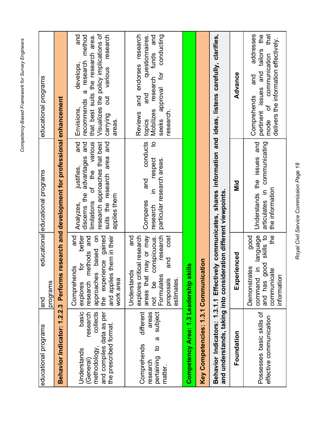| יים המומח יו<br>١             |
|-------------------------------|
| הי לי ייהו<br>Š<br>Ĭ          |
| ------------<br>ì             |
| i vesez<br>$\frac{1}{2}$<br>I |
| h mnatan civil                |

| educational programs                                                                                                            | programs<br>land                                                                                                                                                                       | educational educational programs                                                                                                                                            | educational programs                                                                                                                                                                                         |
|---------------------------------------------------------------------------------------------------------------------------------|----------------------------------------------------------------------------------------------------------------------------------------------------------------------------------------|-----------------------------------------------------------------------------------------------------------------------------------------------------------------------------|--------------------------------------------------------------------------------------------------------------------------------------------------------------------------------------------------------------|
| Behavior Indicator: 1.2.2.3                                                                                                     | Performs                                                                                                                                                                               | research and development for professional enhancement                                                                                                                       |                                                                                                                                                                                                              |
| basic<br>and compiles data as per<br>research<br>collects<br>the prescribed format.<br>methodology,<br>Understands<br>(General) | better<br>$\overline{5}$<br>research methods and<br>the experience gained<br>them in their<br>and<br>based<br>for<br>Comprehends<br>approaches<br>and applies<br>work area<br>explores | and<br>limitations of the various<br>research approaches that best<br>suits the research area and<br>discerns the advantages and<br>justifies,<br>applies them<br>Analyzes, | Visualizes the policy implications of<br>various research<br>and<br>a research method<br>that best suits the research area.<br>develops,<br>$\overline{a}$<br>recommends<br>Envisions,<br>carrying<br>areas. |
| different<br>subject<br>areas<br>$\boldsymbol{\varpi}$<br>Comprehends<br>$\overline{5}$<br>pertaining<br>research<br>matter.    | explores critical research<br>research<br>and<br>areas that may or may<br>conspicuous.<br>cost<br>and<br>Understands<br>Formulates<br>estimates.<br>proposals<br>not be                | conducts<br>$\overline{5}$<br>particular research areas.<br>respect<br>and<br>$\equiv$<br>Compares<br>research                                                              | Reviews and endorses research<br>conducting<br>research funds and<br>questionnaires<br>approval for<br>and<br><b>Mobilizes</b><br>research.<br>seeks<br>topics                                               |
| Competency Area: 1.3 Leadership ski                                                                                             | ≝                                                                                                                                                                                      |                                                                                                                                                                             |                                                                                                                                                                                                              |
| Key Competencies: 1.3.1 Communication                                                                                           |                                                                                                                                                                                        |                                                                                                                                                                             |                                                                                                                                                                                                              |
|                                                                                                                                 | and understands, taking into consideration different viewpoints.                                                                                                                       |                                                                                                                                                                             | Behavior Indicators: 1.3.1.1 Effectively communicates, shares information and ideas, listens carefully, clarifies,                                                                                           |
| Foundation                                                                                                                      | Experienced                                                                                                                                                                            | $\overline{\mathbf{z}}$                                                                                                                                                     | Advance                                                                                                                                                                                                      |
| Possesses basic skills of<br>effective communication                                                                            | command in language<br>and has good skills to<br>e4<br>good<br>Demonstrates<br>communicate<br>information                                                                              | Understands the issues and<br>articulates in communicating<br>the information                                                                                               | that<br>addresses<br>pertinent issues and tailors the<br>delivers the information effectively.<br>mode of communication<br>and<br>Comprehends                                                                |

Royal Civil Service Commission Page 18 *Royal Civil Service Commission Page 18*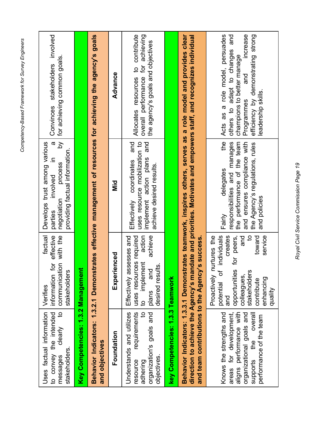| $\overline{5}$<br>Uses factual information<br>to convey the intended<br>clearly<br>stakeholders.<br>messages                                                   | factual<br>effective<br>communication with the<br>jo.<br>stakeholders<br>information<br>Verifies                                                                                                                            | Develops trust among various<br>$\boldsymbol{\varpi}$<br>δ<br>providing factual information<br>$\equiv$<br>process<br>involved<br>negotiation<br>parties                    | Convinces stakeholders involved<br>for achieving common goals.                                                                                                                                                                      |
|----------------------------------------------------------------------------------------------------------------------------------------------------------------|-----------------------------------------------------------------------------------------------------------------------------------------------------------------------------------------------------------------------------|-----------------------------------------------------------------------------------------------------------------------------------------------------------------------------|-------------------------------------------------------------------------------------------------------------------------------------------------------------------------------------------------------------------------------------|
| Key Competencies: 1.3.2 Management                                                                                                                             |                                                                                                                                                                                                                             |                                                                                                                                                                             |                                                                                                                                                                                                                                     |
| and objectives                                                                                                                                                 |                                                                                                                                                                                                                             |                                                                                                                                                                             | Behavior Indicators: 1.3.2.1 Demonstrates effective management of resources for achieving the agency's goals                                                                                                                        |
| Foundation                                                                                                                                                     | Experienced                                                                                                                                                                                                                 | <u>ក្ខ</u>                                                                                                                                                                  | Advance                                                                                                                                                                                                                             |
| requirements<br>Understands and utilizes<br>$\overline{5}$<br>organization's goals and<br>objectives<br>resource<br>adhering                                   | action<br>achieve<br>Effectively assesses and<br>uses resources required<br>implement<br>desired results<br>and<br>plans<br>$\overline{c}$                                                                                  | implement action plans and<br>uses resource mobilization to<br>coordinates and<br>achieve desired results.<br>Effectively                                                   | Allocates resources to contribute<br>overall performance for achieving<br>the agency's goals and objectives                                                                                                                         |
| key Competencies: 1.3.3 Teamwork                                                                                                                               |                                                                                                                                                                                                                             |                                                                                                                                                                             |                                                                                                                                                                                                                                     |
| and team contributions to the Agency's success.                                                                                                                |                                                                                                                                                                                                                             |                                                                                                                                                                             | Behavior Indicators: 1.3.3.1 Demonstrates teamwork, inspires others, serves as a role model and provides clear<br>direction to achieve the Agency's mandate and priorities. Motivates and empowers staff, and recognizes individual |
| aligns performance with<br>areas for development,<br>organizational goals and<br>overall<br>Knows the strengths and<br>performance of the team<br>supports the | individuals<br>toward<br>service<br>creates<br>$\mathbf{S}$<br>nurtures the<br>pue<br>for peers,<br>potential of<br>opportunities<br>stakeholders<br>colleagues,<br>Proactively<br>enhancing<br>contribute<br>dilenb<br>and | the<br>the performance of the team<br>responsibilities and manages<br>and ensures compliance with<br>the Agency's regulations, rules<br>delegates<br>and policies<br>Fairly | Acts as a role model, persuades<br>and<br>increase<br>efficiency by demonstrating strong<br>others to adapt to changes<br>champions to better manage<br>and<br>leadership skills.<br>Programmes                                     |

Royal Civil Service Commission Page 19 *Royal Civil Service Commission Page 19*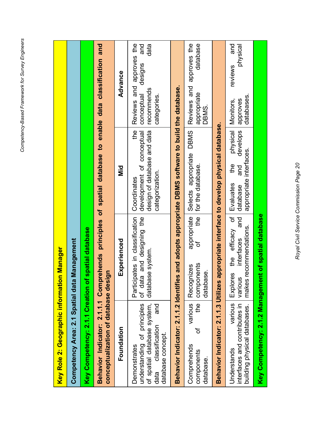| Key Role 2: Geographic information Manager                                                                                      |                                                                                 |                                                                                                          |                                                                                               |
|---------------------------------------------------------------------------------------------------------------------------------|---------------------------------------------------------------------------------|----------------------------------------------------------------------------------------------------------|-----------------------------------------------------------------------------------------------|
| Competency Area: 2.1 Spatial data                                                                                               | Management                                                                      |                                                                                                          |                                                                                               |
| Key Competency: 2.1.1 Creation of                                                                                               | f spatial database                                                              |                                                                                                          |                                                                                               |
| conceptualization of database des                                                                                               | ign                                                                             | Behavior Indicator: 2.1.1.1 Comprehends principles of spatial database to enable data classification and |                                                                                               |
| Foundation                                                                                                                      | Experienced                                                                     | nia<br>Ni                                                                                                | Advance                                                                                       |
| understanding of principles<br>of spatial database system,<br>and<br>classification<br>database concept<br>Demonstrates<br>data | Participates in classification<br>of data and designing the<br>database system. | the<br>development of conceptual<br>design of database and data<br>categorization.<br>Coordinates        | Reviews and approves the<br>and<br>data<br>designs<br>recommends<br>categories.<br>conceptual |
| Behavior Indicator: 2.1.1.2 Identific                                                                                           |                                                                                 | es and adopts appropriate DBMS software to build the database.                                           |                                                                                               |
| various<br>ed<br>H<br>'ত<br>Comprehends<br>components<br>database                                                               | appropriate<br>đ<br>components<br>Recognizes<br>database.                       | Selects appropriate DBMS<br>for the database.<br>$\frac{1}{2}$                                           | Reviews and approves the<br>database<br>appropriate<br>DBMS.                                  |
| Behavior Indicator: 2.1.1.3 Utilizes                                                                                            |                                                                                 | appropriate interface to develop physical database.                                                      |                                                                                               |
| various<br>interfaces and contributes in<br>building physical databases.<br>Understands                                         | makes recommendations.<br>efficacy<br>interfaces<br>the<br>Explores<br>various  | physical<br>develops<br>appropriate interfaces.<br>the<br>and<br>Evaluates<br>database<br>ð<br>and       | pue<br>physical<br>reviews<br>databases<br>approves<br>Monitors,                              |
| Key Competency: 2.1.2 Management of spatial database                                                                            |                                                                                 |                                                                                                          |                                                                                               |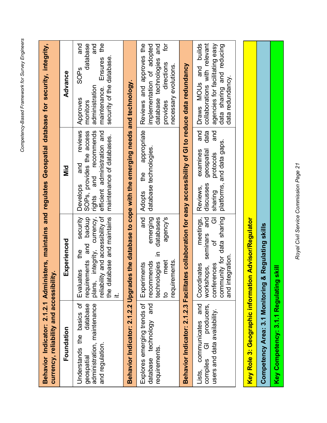| יי לחד לווחום ו בממומרים.<br>;<br>;<br>; |  |
|------------------------------------------|--|
|                                          |  |
| · nmnetency-Based Framework              |  |
|                                          |  |

| currency, reliability and accessibility.                                                                                    |                                                                                                                                                                       | Behavior Indicator: 2.1.2.1 Administers, maintains and regulates Geospatial database for security, integrity,                                           |                                                                                                                                                              |
|-----------------------------------------------------------------------------------------------------------------------------|-----------------------------------------------------------------------------------------------------------------------------------------------------------------------|---------------------------------------------------------------------------------------------------------------------------------------------------------|--------------------------------------------------------------------------------------------------------------------------------------------------------------|
| Foundation                                                                                                                  | Experienced                                                                                                                                                           | $\overline{\mathbf{z}}$                                                                                                                                 | Advance                                                                                                                                                      |
| basics of<br>database<br>administration, maintenance<br>the<br><del>L</del><br>and regulation.<br>Understands<br>geospatial | integrity, currency,<br>lity and accessibility of<br>requirements and backup<br>the database and maintains<br>security<br>e4<br>Evaluates<br>reliabil<br>plans,<br>ند | reviews<br>and recommends<br>efficient administration and<br>SOPs, provides the access<br>maintenance of databases.<br>and<br><b>Develops</b><br>rights | $\frac{6}{1}$<br>and<br>pue<br>database<br>security of the database<br>Ensures<br>SOP <sub>S</sub><br>administration<br>maintenance.<br>Approves<br>monitors |
|                                                                                                                             |                                                                                                                                                                       | Behavior Indicator: 2.1.2.2 Upgrades the database to cope with the emerging needs and technology.                                                       |                                                                                                                                                              |
| and<br>Explores emerging trends of<br>database technology<br>requirements                                                   | agency's<br>and<br>emerging<br>databases<br>≘.<br>technologies<br>meet<br>requirements<br>recommends<br>Experiments<br>$\mathbf{S}$                                   | appropriate<br>database technologies.<br>the<br><b>Adopts</b>                                                                                           | ð<br>Reviews and approves the<br>database technologies and<br>implementation of adopted<br>directions<br>necessary evolutions.<br>provides                   |
|                                                                                                                             |                                                                                                                                                                       | Behavior Indicator: 2.1.2.3 Facilitates collaboration for easy accessibility of GI to reduce data redundancy                                            |                                                                                                                                                              |
| producers,<br>and<br>users and data availability<br>communicates<br>$\overline{\Theta}$<br>compiles<br>Lists.               | community for data sharing<br>meetings,<br>seminars and<br>$\overline{\odot}$<br>ð<br>and integration<br>conferences<br>Coordinates<br>workshops,                     | and<br>and<br>data<br>platforms, and data gaps<br>examines<br>geospatial<br>protocols<br>discusses<br>Reviews,<br>sharing                               | collaborations with relevant<br>agencies for facilitating easy<br>Draws MOUs and builds<br>data sharing and reducing<br>data redundancy.                     |
|                                                                                                                             |                                                                                                                                                                       |                                                                                                                                                         |                                                                                                                                                              |
| Key Role 3: Geographic information Advisor/Regulator                                                                        |                                                                                                                                                                       |                                                                                                                                                         |                                                                                                                                                              |
| Competency Area: 3.1 Monitoring                                                                                             | & Regulating skills                                                                                                                                                   |                                                                                                                                                         |                                                                                                                                                              |
| Key Competency: 3.1.1 Regulating                                                                                            | <b>I</b> skill                                                                                                                                                        |                                                                                                                                                         |                                                                                                                                                              |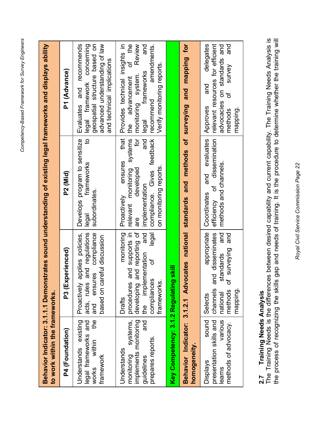| to work within the frameworks                                                                            |                                                                                                                                                                   | Behavior Indicator: 3.1.1.1 Demonstrates sound understanding of existing legal frameworks and displays ability                                                            |                                                                                                                                                                                           |
|----------------------------------------------------------------------------------------------------------|-------------------------------------------------------------------------------------------------------------------------------------------------------------------|---------------------------------------------------------------------------------------------------------------------------------------------------------------------------|-------------------------------------------------------------------------------------------------------------------------------------------------------------------------------------------|
| P4 (Foundation)                                                                                          | erienced)<br>P3 (Exp                                                                                                                                              | P2 (Mid)                                                                                                                                                                  | P1 (Advance)                                                                                                                                                                              |
| the<br>Understands existing<br>legal frameworks and<br>within<br>framework<br>works                      | and regulations<br>compliance<br>Proactively applies policies,<br>based on careful discussion<br>and ensures<br>acts, rules                                       | $\overline{5}$<br>Develops program to sensitize<br>frameworks<br>subordinates.<br>legal                                                                                   | Evaluates and recommends<br>geospatial structure based on<br>advanced understanding of law<br>legal framework concerning<br>and technical implications                                    |
| systems,<br>implements monitoring<br>and<br>prepares reports.<br>Understands<br>monitoring<br>guidelines | developing and reporting of<br>monitoring<br>procedures and supports in<br>and<br>legal<br>the implementation<br>đ<br>compliances<br>frameworks.<br><b>Drafts</b> | that<br>systems<br>ð<br>compliance. Gives feedback<br>and<br>ensures<br>on monitoring reports<br>relevant monitoring<br>developed<br>implementation<br>Proactively<br>are | Provides technical insights in<br>of the<br>Review<br>and<br>amendments<br>Verify monitoring reports<br>frameworks<br>monitoring system.<br>advancement<br>recommend<br>legal<br>the<br>E |
| Key Competency: 3.1.2 Regulating                                                                         | <b>Skill</b>                                                                                                                                                      |                                                                                                                                                                           |                                                                                                                                                                                           |
| homogeneity.                                                                                             |                                                                                                                                                                   | Behavior Indicator: 3.1.2.1 Advocates national standards and methods of surveying and mapping for                                                                         |                                                                                                                                                                                           |
| sound<br>various<br>presentation skills and<br>methods of advocacy.<br><b>Displays</b><br>learns         | appropriate<br>channels and disseminates<br>and<br>and<br>surveying<br>tandards<br>ळ<br>$\sigma$<br>methods<br>mapping<br>national<br>Selects                     | and evaluates<br>dissemination<br>methods and channels.<br>Ⴆ<br>Coordinates<br>efficiency                                                                                 | delegates<br>relevant resources for efficient<br>and<br>advocacies on standards and<br>survey<br>and<br>৳<br>Approves<br>methods<br>puiddeuu                                              |

## **2.7 Training Needs Analysis**

2.7 Training Needs Analysis<br>The Training Needs is the differences between desired capability and current capability. The Training Needs Analysis is<br>the process of recognizing the skills gap and needs of training. It is the The Training Needs is the differences between desired capability and current capability. The Training Needs Analysis is the process of recognizing the skills gap and needs of training. It is the procedure to determine whether the training will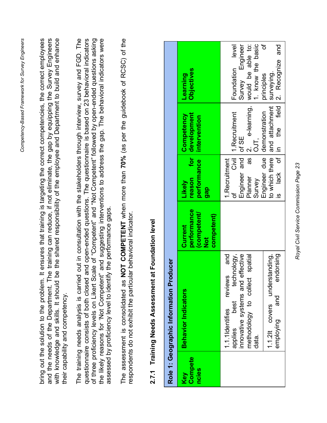<span id="page-22-0"></span>

|                                |                                                                                                                                                                                                                                                                                                                                                                                                                                                                                                                                                                          |                                                           |                                                                            |                                                               | Competency-Based Framework for Survey Engineers                                                                                                                                                                                                                  |
|--------------------------------|--------------------------------------------------------------------------------------------------------------------------------------------------------------------------------------------------------------------------------------------------------------------------------------------------------------------------------------------------------------------------------------------------------------------------------------------------------------------------------------------------------------------------------------------------------------------------|-----------------------------------------------------------|----------------------------------------------------------------------------|---------------------------------------------------------------|------------------------------------------------------------------------------------------------------------------------------------------------------------------------------------------------------------------------------------------------------------------|
|                                | bring out the solution to the problem.<br>and the needs of the Department. Th<br>with knowledge and skills. It should<br>their capability and competency.                                                                                                                                                                                                                                                                                                                                                                                                                |                                                           |                                                                            |                                                               | ne training can reduce, if not eliminate, the gap by equipping the Survey Engineers<br>It ensures that training is targeting the correct competencies, the correct employees<br>be the shared responsibility of the employee and Department to build and enhance |
|                                | of three proficiency levels on Likert Scale of "Competent" and "Not Competent" followed by open-ended questions asking<br>the likely reasons for 'Not Competent" and suggesting interventions to address the gap. The behavioral indicators were<br>The training needs analysis is carried out in consultation with the stakeholders through interview, survey and FGD. The<br>questionnaire consists of both closed and open-ended questions. The questionnaire is based on 23 behavioral indicators<br>assessed by proficiency level to identify the performance gaps. |                                                           |                                                                            |                                                               |                                                                                                                                                                                                                                                                  |
|                                | respondents do not exhibit the particular behavioral indicator.<br>The assessment is consolidated as                                                                                                                                                                                                                                                                                                                                                                                                                                                                     |                                                           |                                                                            |                                                               | NOT COMPETENT when more than 70% (as per the guidebook of RCSC) of the                                                                                                                                                                                           |
|                                | 2.7.1 Training Needs Assessment at Foundation level                                                                                                                                                                                                                                                                                                                                                                                                                                                                                                                      |                                                           |                                                                            |                                                               |                                                                                                                                                                                                                                                                  |
|                                | Role 1: Geographic Information Producer                                                                                                                                                                                                                                                                                                                                                                                                                                                                                                                                  |                                                           |                                                                            |                                                               |                                                                                                                                                                                                                                                                  |
| <b>Compete</b><br>ncies<br>Key | <b>Behavior Indicators</b>                                                                                                                                                                                                                                                                                                                                                                                                                                                                                                                                               | performance<br>competent/<br>competent)<br>Current<br>Not | for<br>performance<br>reason<br>Likely<br><b>GBD</b>                       | development<br>Competency<br>intervention                     | <b>Objectives</b><br>Learning                                                                                                                                                                                                                                    |
|                                | technology,<br>effective<br>and<br>spatial<br>reviews<br>collect<br>innovative systems and<br>methodology to<br>best<br>1.1.1Identifies<br>applies<br>data.                                                                                                                                                                                                                                                                                                                                                                                                              |                                                           | as<br>Civil<br>and<br>1. Recruitment<br>Engineer<br>Planner<br>Survey<br>ď | e-learning,<br>1. Recruitment<br>of SE<br>OJT,<br>$\mathbf 2$ | 1. know the basic<br>Engineer<br>would be able to:<br>level<br>Foundation<br>Survey                                                                                                                                                                              |
|                                | understanding,<br>endorsing<br>and<br>covers<br>employing<br>1.1.21                                                                                                                                                                                                                                                                                                                                                                                                                                                                                                      |                                                           | to which there<br>ð<br>Engineer due<br>lack                                | and attachment<br>field<br>demonstration<br>the<br>$\equiv$   | ৳<br>and<br>Recognize<br>surveying.<br>principles<br>$\overline{\alpha}$                                                                                                                                                                                         |

Competency-Based Framework for Survey Engineers

Royal Civil Service Commission Page 23 *Royal Civil Service Commission Page 23*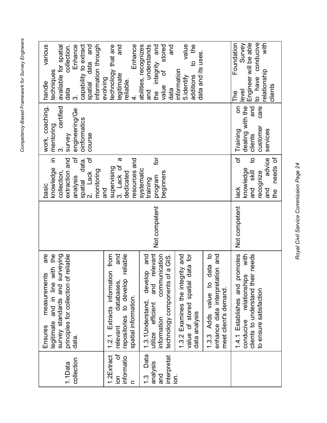| יים המומח יו<br>١             |
|-------------------------------|
| הי לי ייהו<br>Š<br>Ĭ          |
| ------------<br>ì             |
| i vesez<br>$\frac{1}{2}$<br>I |
| h mnatan civil                |

| capability to extract<br>information through<br>Enhance<br>spatial data and<br>various<br>available for spatial<br>collection.<br>techniques<br>handle<br>data<br>.<br>ო  | Enhance<br>technology that are<br>and<br>legitimate<br>evolving<br>reliable.                                                 | abilities, recognizes<br>integrity and<br>and<br>and understands<br>stored<br>ð<br>value<br>data<br>the                                        | value<br>to the<br>data and its uses.<br>information<br>additions<br>5.identify          |                                                                                            | Engineer will be able<br>to have conducive<br>with<br>Survey<br>Foundation<br>relationship<br>clients<br>level<br>The            |
|---------------------------------------------------------------------------------------------------------------------------------------------------------------------------|------------------------------------------------------------------------------------------------------------------------------|------------------------------------------------------------------------------------------------------------------------------------------------|------------------------------------------------------------------------------------------|--------------------------------------------------------------------------------------------|----------------------------------------------------------------------------------------------------------------------------------|
| work, coaching,<br>certified<br>engineering/Ge<br>oinformatics<br>mentoring<br>survey<br>course                                                                           |                                                                                                                              |                                                                                                                                                |                                                                                          |                                                                                            | dealing with the<br>care<br>and<br>δ<br>customer<br>services<br>Training<br>clients                                              |
| $\equiv$<br>ð<br>ð<br>extraction and<br>spatial data.<br>2. Lack of<br>knowledge<br>monitoring<br>collection,<br>analysis<br>basic                                        | ω<br>resources and<br>3. Lack of<br>supervising<br>dedicated<br>and                                                          | ĮQ<br>systematic<br>beginners<br>program<br>training                                                                                           |                                                                                          |                                                                                            | Ⴆ<br>$\overline{a}$<br>advice<br>needs of<br>knowledae<br>and skill<br>recognize<br>lack<br>and<br>the                           |
|                                                                                                                                                                           |                                                                                                                              | Not competent                                                                                                                                  |                                                                                          |                                                                                            | Not competent                                                                                                                    |
| with the<br>surveying<br>of reliable<br>are<br>nts<br>measureme<br>principles for collection<br>legitimate and in line<br>survey standards and<br><b>Ensures</b><br>data. | 1.2.1 Extracts information from<br>and<br>repositories to develop reliable<br>databases,<br>spatial information.<br>relevant | relevant<br>communication<br>technology components of a GIS.<br>develop<br>and<br>and<br>1.3.1 Understand,<br>utilize efficient<br>information | data for<br>1.3.2 Examines the integrity and<br>value of stored spatial<br>data analysis | data to<br>enhance data interpretation and<br>1.3.3 Adds value to<br>meet client's demand. | promotes<br>conducive relationships with<br>clients to understand their needs<br>1.4.1 Establishes and<br>to ensure satisfaction |
| collection<br>1.1Data                                                                                                                                                     | Ⴆ<br>1.2Extract<br>informatio<br>ion<br>$\mathbf{C}$                                                                         | Data<br>interpretat<br>analysis<br><u>ო</u><br>13<br>and                                                                                       | io.                                                                                      |                                                                                            |                                                                                                                                  |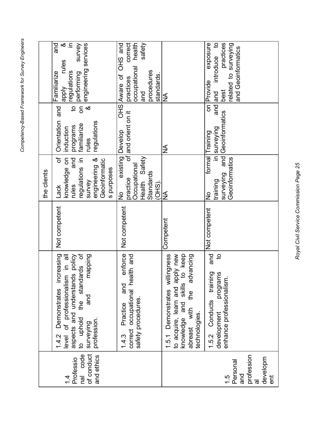|                                                                                  |                                                                                                                                                                                                  |                   | the clients                                                                                                                  |                                                                                                                                           |                                                                                                                     |
|----------------------------------------------------------------------------------|--------------------------------------------------------------------------------------------------------------------------------------------------------------------------------------------------|-------------------|------------------------------------------------------------------------------------------------------------------------------|-------------------------------------------------------------------------------------------------------------------------------------------|---------------------------------------------------------------------------------------------------------------------|
| of conduct<br>code<br>and ethics<br>Professio<br>$\overline{B}$<br>$\frac{1}{4}$ | ncreasing<br>level of professionalism in all<br>aspects and understands policy<br>to uphold the standards of<br>mapping<br>Demonstrates<br>and<br>plondu ot<br>profession.<br>surveying<br>1.4.2 | Not competent     | regulations in<br>$\sigma$<br>knowledge on<br>and<br>engineering &<br>Geoinformatic<br>s purposes<br>survey<br>rules<br>Lack | $\overline{5}$<br>$\infty$<br>$\overline{\mathcal{C}}$<br>Orientation and<br>regulations<br>programs<br>familiarize<br>induction<br>rules | త .⊆<br>and<br>survey<br>engineering services<br>rules<br>Familiarize<br>regulations<br>performing<br><b>Adde</b>   |
|                                                                                  | enforce<br>1.4.3 Practice and enforce<br>correct occupational health and<br>safety procedures.<br>1.4.3                                                                                          | Not competent     | existing Develop<br>Health Safety<br>Occupational<br>Standards<br>practice<br>$(OHS)$ .<br>$\frac{1}{2}$                     | of and orient on it                                                                                                                       | health<br>correct<br>safety<br>OHS Aware of OHS and<br>occupational<br>procedures<br>standards.<br>practices<br>pue |
|                                                                                  | to acquire, learn and apply new<br>1.5.1 Demonstrates willingness<br>advancing<br>the<br>abreast with<br>technologies.                                                                           | Competent         | $\frac{1}{2}$                                                                                                                | $\frac{1}{2}$                                                                                                                             | $\frac{1}{2}$                                                                                                       |
| profession<br>al<br>developm<br>Personal<br>pue<br>$\frac{1}{2}$<br>ent          | $\overline{5}$<br>programs<br>1.5.2 Conducts training<br>enhance professionalism.<br>development                                                                                                 | and Not competent | Geoinformatics<br>surveying<br>training<br>$\frac{1}{2}$                                                                     | $rac{1}{6}$<br>and Geoinformatics<br>in surveying<br>formal Training                                                                      | introduce to<br>exposure<br>practices<br>related to surveying<br>and Geoinformatics<br>Provide<br>and and<br>best   |

> Royal Civil Service Commission Page 25 *Royal Civil Service Commission Page 25*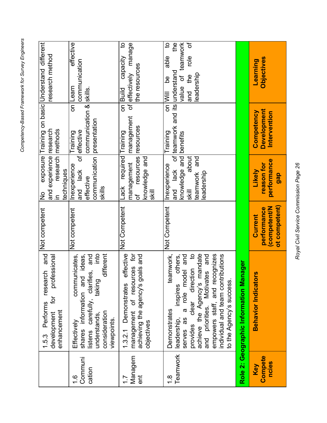| יי לחד לווחום ו בממומרים.<br>;<br>;<br>; |  |
|------------------------------------------|--|
|                                          |  |
| · nmnetency-Based Framework              |  |
|                                          |  |

|                           | Performs research and<br>professional<br>ĮÓ<br>enhancement<br>development<br>1.5.3                                                                                                                                                                                                                    | Not competent                                           | and experience research<br>research   methods<br>techniques<br>$rac{1}{2}$<br>$\equiv$          |                                                     | exposure Training on basic Understand different<br>research method                                                        |
|---------------------------|-------------------------------------------------------------------------------------------------------------------------------------------------------------------------------------------------------------------------------------------------------------------------------------------------------|---------------------------------------------------------|-------------------------------------------------------------------------------------------------|-----------------------------------------------------|---------------------------------------------------------------------------------------------------------------------------|
| Communi<br>cation<br>1.6  | oqui<br>communicates,<br>shares information and ideas,<br>different<br>listens carefully, clarifies, and<br>taking<br>consideration<br>understands,<br>viewpoints.<br>Effectively                                                                                                                     | Not competent                                           | communication presentation<br>Inexperience<br>and lack<br>effective<br>skills                   | communication & skills.<br>of effective<br>Training | effective<br>communication<br>on Learn                                                                                    |
| Managem<br>ent            | effective<br>management of resources for<br>goals and<br>achieving the agency's<br>1.3.2.1 Demonstrates<br>objectives                                                                                                                                                                                 | Not Competent                                           | required Training<br>resources<br>knowledge and<br>management<br>Lack<br>⋚<br>Ⴆ                 | management<br>resources                             | $\overline{a}$<br>of effectively manage<br>capacity<br>the resources<br>on Build                                          |
| Teamwork<br>$\frac{8}{1}$ | provides clear direction to<br>achieve the Agency's mandate<br>empowers staff, and recognizes<br>Motivates and<br>teamwork,<br>others,<br>a role model and<br>individual and team contributions<br>inspires<br>to the Agency's success<br>and priorities.<br>Demonstrates<br>serves as<br>leadership, | Not Competent                                           | knowledge and benefits<br>about<br>and<br>Inexperience<br>eadership<br>teamwork<br><b>Skill</b> | and lack of teamwork and its understand<br>Training | value of teamwork<br>of<br>$\overline{c}$<br>the<br>able<br>$\frac{1}{2}$<br>leadership<br>and the<br>ed<br>Q<br>on  Will |
|                           | Role 2: Geographic Information Manager                                                                                                                                                                                                                                                                |                                                         |                                                                                                 |                                                     |                                                                                                                           |
| Compete<br>ncies<br>Key   | <b>Behavior Indicators</b>                                                                                                                                                                                                                                                                            | ot competent)<br>(competent/N<br>performance<br>Current | performance<br>reason for<br>Likely<br>gap                                                      | <b>Development</b><br>Competency<br>Intervention    | Objectives<br>Learning                                                                                                    |

Royal Civil Service Commission Page 26 *Royal Civil Service Commission Page 26*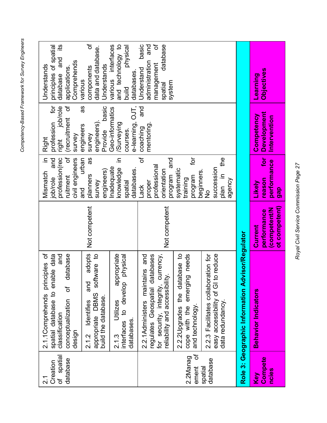| י ליומים ואים אוממים<br>١<br>í<br>Į           |  |
|-----------------------------------------------|--|
| ~ Eromanner<br>ו הפספפריו<br>ה היה היי היה הי |  |
|                                               |  |

| spatial<br>database<br>Creation<br>$\overline{\sigma}$<br>$\frac{1}{2}$ | 2.1.1Comprehends principles of<br>and<br>database<br>spatial database to enable data<br>৳<br>conceptualization<br>classification<br>design     |                                                        | ð<br>profession(rec<br>크.<br>civil engineers<br>and<br>Mismatch<br>ruitment<br>job/role | ior<br>right job/role<br>(recruitment of<br>profession<br>survey<br><b>Right</b> | principles of spatial<br>and its<br>Comprehends<br>Understands<br>applications<br>database       |
|-------------------------------------------------------------------------|------------------------------------------------------------------------------------------------------------------------------------------------|--------------------------------------------------------|-----------------------------------------------------------------------------------------|----------------------------------------------------------------------------------|--------------------------------------------------------------------------------------------------|
|                                                                         | adopts<br>software to<br>and<br>appropriate DBMS<br>build the database.<br>Identifies<br>2.1.2                                                 | Not competent                                          | urban<br>8g<br>engineers)<br>planners<br>survey<br>and                                  | as<br>basic<br>engineers)<br>engineers<br>Provide<br>survey                      | ৳<br>data and database.<br>Understands<br>components<br>various                                  |
|                                                                         | appropriate<br>physical<br>to develop<br>Utilizes<br>databases.<br>interfaces<br>2.1.3                                                         |                                                        | ⊒.<br>nadequate<br>knowledge<br>databases.<br>spatial                                   | e-learning, OJT,<br>Geo-informatics<br>/Surveying<br>courses.                    | various interfaces<br>and technology to<br>physical<br>databases<br>build                        |
|                                                                         | 2.2.1Administers maintains and<br>regulates Geospatial databases<br>currency,<br>reliability and accessibility.<br>security, integrity,<br>tor | Not competent                                          | đ<br>and<br>professional<br>orientation<br>program<br>proper<br>Lack                    | and<br>mentoring<br>coaching                                                     | ট<br>basic<br>database<br>and<br>administration<br>management<br>Understand<br>system<br>spatial |
| đ<br>2.2Manag<br>ement                                                  | 2.2.2 Upgrades the database to<br>cope with the emerging needs<br>and technology.                                                              |                                                        | ĮQ<br>systematic<br>beginners.<br>program<br>training                                   |                                                                                  |                                                                                                  |
| database<br>spatial                                                     | 2.2.3 Facilitates collaboration for<br>to reduce<br>easy accessibility of GI<br>data redundancy                                                |                                                        | $\frac{6}{11}$<br>succession<br>ni nalq<br>agency<br>$\frac{1}{2}$                      |                                                                                  |                                                                                                  |
|                                                                         | Role 3: Geographic Information Advisor/Regulator                                                                                               |                                                        |                                                                                         |                                                                                  |                                                                                                  |
| Compete<br>ncies<br>Key                                                 | <b>Behavior Indicators</b>                                                                                                                     | ot competent)<br>Competent/N<br>performance<br>Current | jot<br>performance<br>reason<br>Likely<br>gap                                           | <b>Development</b><br>Competency<br>Intervention                                 | <b>Objectives</b><br>Learning                                                                    |

Royal Civil Service Commission Page 27 *Royal Civil Service Commission Page 27*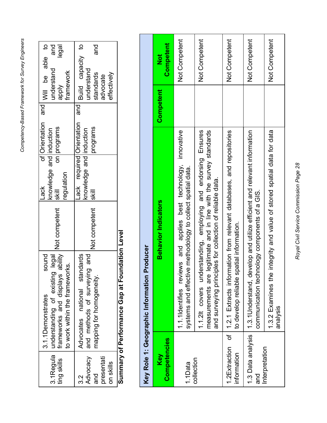|                          |                |                          |               | Sumary of Performance Gap at Foundation Leve |             |
|--------------------------|----------------|--------------------------|---------------|----------------------------------------------|-------------|
| effectively              |                |                          |               |                                              | on skills   |
| advocate                 |                |                          |               |                                              | presentati  |
| and<br>standards         | programs       | l∥s                      | Not competent | mapping for homogeneity.                     | and         |
| understand               |                | knowledge and induction  |               | and methods of surveying and                 | Advocacy    |
| Build capacity to<br>and |                | ack required Orientation |               | Advocates national standards                 | လ<br>က      |
| framework                |                | regulation               |               | to work within the frameworks.               |             |
| legal<br><b>Aldde</b>    | on programs    | $\frac{1}{3}$            | Not competent | frameworks and displays ability              | ting skills |
| and<br>understand        |                | knowledge and induction  |               | 3.1Regula   understanding of existing legal  |             |
| and Will be able to      | of Orientation | -ack                     |               | sound<br>3.1.1Demonstrates                   |             |
|                          |                |                          |               |                                              |             |

**Summary of Performance Gap at Foundation Level** ℷ ٩

|                              | Producer<br>Key Role 1: Geographic Information                                                                                                                                                     |           |                         |
|------------------------------|----------------------------------------------------------------------------------------------------------------------------------------------------------------------------------------------------|-----------|-------------------------|
| <b>Competencies</b><br>Key   | <b>Behavior Indicators</b>                                                                                                                                                                         | Competent | Competent<br><b>Not</b> |
| 1.1Data                      | innovative<br>lews and applies best technology,<br>systems and effective methodology to collect spatial data.<br>1.1.1Identifies revi                                                              |           | Not Competent           |
| collection                   | 1.1.2lt covers understanding, employing and endorsing Ensures<br>legitimate and in line with the survey standards<br>and surveying principles for collection of reliable data.<br>measurements are |           | Not Competent           |
| 1.2Extraction<br>information | of   1.2.1 Extracts information from relevant databases, and repositories<br>to develop reliable spatial information.                                                                              |           | Not Competent           |
| 1.3 Data analysis<br>and     | 1.3.1 Understand, develop and utilize efficient and relevant information<br>communication technology components of a GIS.                                                                          |           | Not Competent           |
| Interpretation               | 1.3.2 Examines the integrity and value of stored spatial data for data<br>analysis                                                                                                                 |           | Not Competent           |

Royal Civil Service Commission Page 28 *Royal Civil Service Commission Page 28*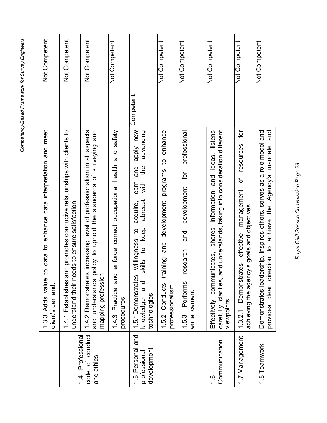| <u>. ניסף הייתה ה</u><br>١<br>המי 27 ומות<br>ī |  |
|------------------------------------------------|--|
| omptency-Rased Framework<br>)<br>)<br>)        |  |

|                                                    | to data to enhance data interpretation and meet<br>1.3.3 Adds value<br>client's demand.                                                                                                              | Not Competent |
|----------------------------------------------------|------------------------------------------------------------------------------------------------------------------------------------------------------------------------------------------------------|---------------|
|                                                    | nd promotes conducive relationships with clients to<br>understand their needs to ensure satisfaction<br>1.4.1 Establishes ar                                                                         | Not Competent |
| code of conduct<br>1.4 Professional<br>and ethics  | 1.4.2 Demonstrates increasing level of professionalism in all aspects<br>and understands policy to uphold the standards of surveying and<br>mapping profession                                       | Not Competent |
|                                                    | enforce correct occupational health and safety<br>1.4.3 Practice and<br>procedures.                                                                                                                  | Not Competent |
| and<br>1.5 Personal<br>development<br>professional | Competent<br>apply new<br>advancing<br>e<br>He<br>and<br>with<br>learn<br>abreast<br>acquire,<br>to keep<br>willingness to<br>skills<br>1.5.1 Demonstrates<br>and<br>a<br>technologies.<br>knowledge |               |
|                                                    | programs to enhance<br>and development<br>training<br>1.5.2 Conducts<br>professionalism.                                                                                                             | Not Competent |
|                                                    | professional<br>for<br>development<br>and<br>research<br>Performs<br>enhancement<br>1.5.3                                                                                                            | Not Competent |
| Communication<br>$\frac{6}{1}$                     | carefully, clarifies, and understands, taking into consideration different<br>ideas, listens<br>information and<br>shares<br>nicates,<br>commu<br>viewpoints.<br>Effectively                         | Not Competent |
| 1.7 Management                                     | ð<br>resources<br>đ<br>management<br>achieving the agency's goals and objectives<br>effective<br>1.3.2.1 Demonstrates                                                                                | Not Competent |
| 1.8 Teamwork                                       | Demonstrates leadership, inspires others, serves as a role model and<br>and<br>mandate<br>achieve the Agency's<br>$\overline{a}$<br>provides clear direction                                         | Not Competent |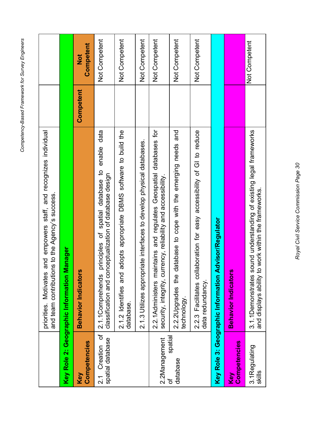|                                       | empowers staff, and recognizes individual<br>and team contributions to the Agency's success.<br>and<br>priorities. Motivates                       |           |                                      |
|---------------------------------------|----------------------------------------------------------------------------------------------------------------------------------------------------|-----------|--------------------------------------|
|                                       | <b>Manager</b><br>Key Role 2: Geographic Information                                                                                               |           |                                      |
| Competencies<br>Key                   | <b>SC</b><br><b>Behavior Indicator</b>                                                                                                             | Competent | Competent<br>$\overline{\mathbf{z}}$ |
| ъ<br>spatial database<br>2.1 Creation | data<br>enable<br>$\mathbf{a}$<br>classification and conceptualization of database design<br>spatial database<br>principles of<br>2.1.1Comprehends |           | Not Competent                        |
|                                       | adopts appropriate DBMS software to build the<br>2.1.2 Identifies and<br>database.                                                                 |           | Not Competent                        |
|                                       | 2.1.3 Utilizes appropriate interfaces to develop physical databases.                                                                               |           | Not Competent                        |
| 2.2Management                         | and regulates Geospatial databases for<br>security, integrity, currency, reliability and accessibility.<br>aintains<br>2.2.1Administers m          |           | Not Competent                        |
| spatial<br>database<br>Ⴆ              | database to cope with the emerging needs and<br>2.2.2 Upgrades the<br>technology.                                                                  |           | Not Competent                        |
|                                       | 2.2.3 Facilitates collaboration for easy accessibility of GI to reduce<br>data redundancy.                                                         |           | Not Competent                        |
|                                       | <b>Advisor/Regulator</b><br>Key Role 3: Geographic Information                                                                                     |           |                                      |
| Competencies<br>Key                   | ŷ,<br><b>Behavior Indicator</b>                                                                                                                    |           |                                      |
| 3.1Regulating<br>skills               | sound understanding of existing legal frameworks<br>to work within the frameworks.<br>3.1.1Demonstrates<br>and displays ability                    |           | Not Competent                        |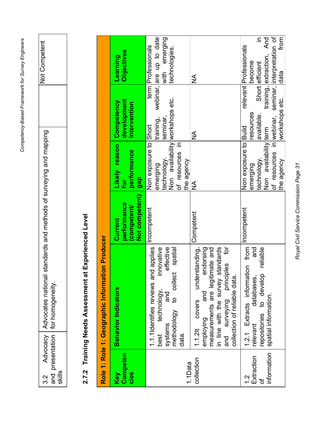| ١                                   |
|-------------------------------------|
| $\frac{1}{2}$                       |
| Ĭ                                   |
| $\overline{\phantom{a}}$            |
| Amnatannu Resen<br>)<br>)<br>!<br>I |

| ¢<br>nmneti                                                                                                                      |                                    |  |
|----------------------------------------------------------------------------------------------------------------------------------|------------------------------------|--|
|                                                                                                                                  |                                    |  |
| Ç<br>Ś<br>Ē<br>ang<br>DUINBA.<br>$\frac{1}{2}$ OI $\frac{1}{2}$<br>nods<br>د<br>tandards and met<br>dvocacy   Advocates national | and presentation   for homogeneity |  |
|                                                                                                                                  |                                    |  |
| ር<br>ር                                                                                                                           |                                    |  |

## 2.7.2 Training Needs Assessment at Experienced Level **2.7.2 Training Needs Assessment at Experienced Level**

<span id="page-30-0"></span>

Royal Civil Service Commission Page 31 *Royal Civil Service Commission Page 31*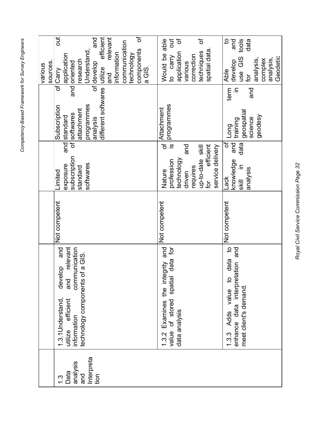|                                                                |                                                                                                  |                                                    |               |                                                                                                                                          |                                                                                                                     | sources.<br>various                                                                                                                                                                                       |
|----------------------------------------------------------------|--------------------------------------------------------------------------------------------------|----------------------------------------------------|---------------|------------------------------------------------------------------------------------------------------------------------------------------|---------------------------------------------------------------------------------------------------------------------|-----------------------------------------------------------------------------------------------------------------------------------------------------------------------------------------------------------|
| Interpreta<br>analysis<br>Data<br>and<br>tion<br>$\frac{3}{1}$ | technology components of a GIS.<br>1.3.1 Understand,<br>efficient<br>information<br>utilize      | and<br>relevant<br>communication<br>develop<br>and | Not competent | subscription<br>softwares<br>exposure<br>standard<br>Limited                                                                             | different softwares utilize<br>programmes<br>Subscription<br>attachment<br>of softwares<br>and standard<br>analysis | ð<br>efficient<br>relevant<br>out.<br>and<br>communication<br>components<br>Understand,<br>nformation<br>technology<br>application<br>research<br>and oriented<br>of develop<br>a GIS.<br>of Carry<br>and |
|                                                                | value of stored spatial<br>1.3.2 Examines<br>data analysis                                       | the integrity and<br>data for                      | Not competent | <u>.ഗ</u><br>and<br>efficient<br>up-to-date skill<br>service delivery<br>technology<br>profession<br>requires<br>Nature<br>driven<br>for | programmes<br>of Attachment                                                                                         | đ<br>Ⴆ<br>out<br>Would be able<br>spatial data<br>application<br>techniques<br>to carry<br>correction<br>various                                                                                          |
|                                                                | 1.3.3 Adds value to data to<br>enhance data interpretation and<br>meet client's demand.<br>1.3.3 | $\overline{5}$                                     | Not competent | and<br>৳<br>data<br>knowledge<br>skill in<br>analysis<br>Lack                                                                            | $\subseteq$<br>term<br>and<br>geospatial<br>geodesy<br>science<br>training<br>Long                                  | $\mathbf{S}$<br>use GIS tools<br>and<br>data<br>Geodetic<br>analysis,<br>analysis,<br>complex<br>develop<br>Able<br>tor<br>                                                                               |

Royal Civil Service Commission Page 32 *Royal Civil Service Commission Page 32*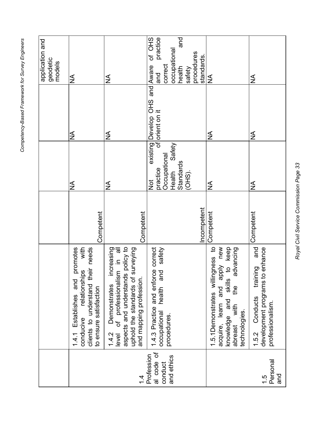|                                                   |                                                                                                                                                                                             |             |                                                                                         |                                                          | application and<br>geodetic<br>models                                                                       |
|---------------------------------------------------|---------------------------------------------------------------------------------------------------------------------------------------------------------------------------------------------|-------------|-----------------------------------------------------------------------------------------|----------------------------------------------------------|-------------------------------------------------------------------------------------------------------------|
|                                                   | with<br>promotes<br>clients to understand their needs<br>relationships<br>1.4.1 Establishes and<br>to ensure satisfaction<br>conducive                                                      | Competent   | $\frac{1}{2}$                                                                           | ≸                                                        | ≸                                                                                                           |
| 4.                                                | aspects and understands policy to<br>increasing<br>Demonstrates increasing<br>of professionalism in all<br>surveying<br>uphold the standards of<br>and mapping profession<br>1.4.2<br>level | Competent   | $\frac{1}{2}$                                                                           | $\frac{1}{2}$                                            | $\frac{1}{2}$                                                                                               |
| al code of<br>Profession<br>and ethics<br>conduct | 1.4.3 Practice and enforce correct<br>safety<br>and<br>health<br>occupational<br>procedures.                                                                                                | Incompetent | Safety<br>Occupational<br>Standards<br>practice<br>Health<br>$(OHS)$ .<br>$\frac{1}{2}$ | existing Develop OHS and Aware<br>of orient on it<br>and | Of OHS<br>practice<br>pue<br> occupational<br> health<br> a<br>procedures<br>standards<br>correct<br>safety |
|                                                   | 1.5.1Demonstrates willingness to<br>acquire, learn and apply new<br>keep<br>advancing<br>$\ddot{\circ}$<br>skills<br>the<br>knowledge and<br>with<br>technologies.<br>abreast               | Competent   | $\frac{1}{2}$                                                                           | ≸                                                        | ≨                                                                                                           |
| Personal<br>pue<br>$\frac{1}{1}$                  | and<br>to enhance<br>training<br>development programs t<br>1.5.2 Conducts<br>professionalism.                                                                                               | Competent   | ≸                                                                                       | ≸                                                        | $\frac{1}{2}$                                                                                               |

Royal Civil Service Commission Page 33 *Royal Civil Service Commission Page 33*

Competency-Based Framework for Survey Engineers *Competency-Based Framework for Survey Engineers*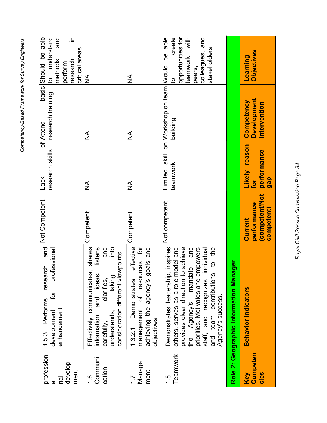|                                            | research and Not Competent<br>Performs<br>1.5.3                                                                                                                                                                                                                                           |                                                        | Lack                                       | of Attend                                                   | basic Should be able                                                                                           |
|--------------------------------------------|-------------------------------------------------------------------------------------------------------------------------------------------------------------------------------------------------------------------------------------------------------------------------------------------|--------------------------------------------------------|--------------------------------------------|-------------------------------------------------------------|----------------------------------------------------------------------------------------------------------------|
| profession<br>nal<br>त्त                   | professional<br>ĮQ<br>enhancement<br>development                                                                                                                                                                                                                                          |                                                        | research skills                            | research training                                           | to understand<br>and<br>methods                                                                                |
| develop<br>ment                            |                                                                                                                                                                                                                                                                                           |                                                        |                                            |                                                             | 크.<br>research<br>perform                                                                                      |
|                                            |                                                                                                                                                                                                                                                                                           |                                                        |                                            |                                                             | critical areas                                                                                                 |
| Communi<br>cation<br>$\frac{6}{1}$         | into<br>and<br>shares<br>listens<br>consideration different viewpoints.<br>Effectively communicates,<br>information and ideas,<br>clarifies,<br>taking<br>understands,<br>carefully,                                                                                                      | Competent                                              | ≸                                          | ≸                                                           | $\frac{\mathsf{A}}{\mathsf{A}}$                                                                                |
| Manage<br>ment<br>$\overline{\phantom{0}}$ | effective<br>management of resources for<br>goals and<br>Demonstrates<br>achieving the agency's<br>objectives<br>1.3.2.1                                                                                                                                                                  | Competent                                              | ≸                                          | ≨                                                           | ≸                                                                                                              |
| Teamwork<br>$\frac{8}{1}$                  | to achieve<br>Demonstrates leadership, inspires<br>model and<br>the Agency's mandate and<br>empowers<br>individual<br>the<br>and team contributions to<br>provides clear direction<br>others, serves as a role<br>priorities. Motivates and<br>staff, and recognizes<br>Agency's success. | Not competent                                          | teamwork                                   | Limited skill on Workshop on team Would be able<br>building | create<br>opportunities for<br>teamwork with<br>and<br>stakeholders<br>colleagues,<br>peers,<br>$\overline{a}$ |
|                                            | nager<br>Role 2: Geographic Information Ma                                                                                                                                                                                                                                                |                                                        |                                            |                                                             |                                                                                                                |
| Competen<br>cies<br>Key                    | <b>Behavior Indicators</b>                                                                                                                                                                                                                                                                | (competent/Not<br>performance<br>competent)<br>Current | Likely reason<br>performance<br>gap<br>tor | <b>Development</b><br>Competency<br>Intervention            | Objectives<br>Learning                                                                                         |

Royal Civil Service Commission Page 34 *Royal Civil Service Commission Page 34*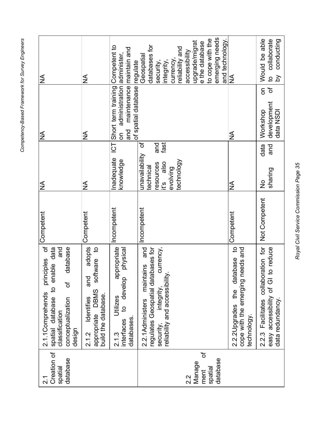| ≨                                                                                                                                              | $\frac{1}{2}$                                                                                               | regulate                                                                                                                      | emerging needs<br>to cope with the<br>and technology.<br>upgrade/migrat<br>e the database<br>databases for<br>reliability and<br>accessibility<br>Geospatial<br>currency,<br>integrity,<br>security, | ≨                                                                                                                    | Would be able<br>to collaborate<br>conducting<br>$\overline{\mathsf{d}}$                         |
|------------------------------------------------------------------------------------------------------------------------------------------------|-------------------------------------------------------------------------------------------------------------|-------------------------------------------------------------------------------------------------------------------------------|------------------------------------------------------------------------------------------------------------------------------------------------------------------------------------------------------|----------------------------------------------------------------------------------------------------------------------|--------------------------------------------------------------------------------------------------|
| ≸                                                                                                                                              | ≸                                                                                                           | Short term training Competent to<br>maintenance maintain and<br>administration administer<br>of spatial database<br>and<br>ຣົ |                                                                                                                                                                                                      | ≨                                                                                                                    | $\mathbf{\tilde{o}}$<br>δ<br>development<br>data NSDI<br>Workshop                                |
| ≸                                                                                                                                              | $\frac{1}{2}$                                                                                               | ICT<br>Inadequate<br>knowledge                                                                                                | bf<br>fast<br>and<br>unavailability<br>technology<br>also<br>resources<br>technical<br>evolving<br>it's                                                                                              | ≸                                                                                                                    | data<br>and<br>sharing<br>$\frac{1}{2}$                                                          |
| Competent                                                                                                                                      | Competent                                                                                                   | Incompetent                                                                                                                   | Incompetent                                                                                                                                                                                          | Competent                                                                                                            | Not Competent                                                                                    |
| principles of<br>database<br>and<br>spatial database to enable data<br>'ত<br>2.1.1Comprehends<br>conceptualization<br>classification<br>design | adopts<br>$\mathbf{q}$<br>software<br>and<br>appropriate DBMS<br>build the database.<br>ldentifies<br>2.1.2 | appropriate<br>physical<br>to develop<br>Utilizes<br>databases<br>interfaces<br>2.1.3                                         | regulates Geospatial databases for<br>and<br>currency,<br>maintains<br>reliability and accessibility<br>integrity,<br>2.2.1 Administers<br>security,                                                 | $\overline{5}$<br>needs and<br>tabase<br>$\vec{a}$<br>cope with the emerging<br>the<br>2.2.2 Upgrades<br>technology. | 2.2.3 Facilitates collaboration for<br>to reduce<br>easy accessibility of GI<br>data redundancy. |
| Creation of<br>database<br>spatial<br>$\frac{1}{2}$                                                                                            |                                                                                                             |                                                                                                                               | ট<br>database<br>Manage<br>spatial<br>ment<br>2.2                                                                                                                                                    |                                                                                                                      |                                                                                                  |

Royal Civil Service Commission Page 35 *Royal Civil Service Commission Page 35*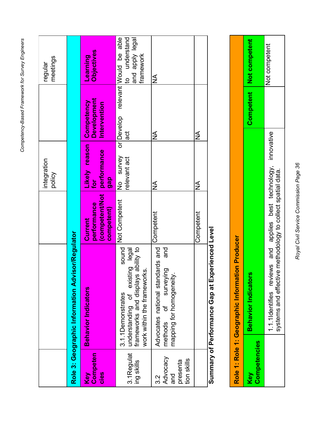|                                                          |                                                                                                                                                            |                                                              | integration<br>policy                      |                                           | meetings<br>regular                                                            |
|----------------------------------------------------------|------------------------------------------------------------------------------------------------------------------------------------------------------------|--------------------------------------------------------------|--------------------------------------------|-------------------------------------------|--------------------------------------------------------------------------------|
|                                                          | Role 3: Geographic Information Advisor/Regulator                                                                                                           |                                                              |                                            |                                           |                                                                                |
| Competen<br>cies<br>Key                                  | <b>Behavior Indicators</b>                                                                                                                                 | <b>competent/Not</b><br>performance<br>competent)<br>Current | Likely reason<br>performance<br>gap<br>tor | Development<br>Competency<br>Intervention | Objectives<br><b>Buiules</b>                                                   |
| 3.1Regulat<br>ing skills                                 | sound<br>ability to<br>understanding of existing legal<br>$\dot{\bm{\omega}}$<br>frameworks and displays<br>work within the framework<br>3.1.1Demonstrates | Not Competent                                                | No survey<br>relevant act                  | or Develop<br>đ                           | relevant Would be able<br>understand<br>legal vidde pue<br>framework<br>a<br>S |
| Advocacy<br>tion skills<br>presenta<br>and<br><u>ვ პ</u> | Advocates national standards and<br>and<br>ğΣ<br>surveyir<br>mapping for homogeneity.<br>.<br>Ծ<br>methods                                                 | Competent                                                    | ≸                                          | $\frac{1}{2}$                             | ≸                                                                              |
|                                                          |                                                                                                                                                            | Competent                                                    | ≸                                          | ≸                                         |                                                                                |
|                                                          | Summary of Performance Gap at Experienced I eve                                                                                                            |                                                              |                                            |                                           |                                                                                |

Ū<br>> **Summary of Performance Gap at Experienced Level** ں<br>ا 3 Experienc ರ ರ ರ<br>ರ ರ b **JIIBIII IOI IBL IOI** Summary

|                                                 | Competent Not competent         | <b>Jot competent</b><br>lews and applies best technology, innovative               |
|-------------------------------------------------|---------------------------------|------------------------------------------------------------------------------------|
| Role 1: Role 1: Geographic Information Producer | y)<br><b>Behavior Indicator</b> | systems and effective methodology to collect spatial data.<br>1.1.1Identifies revi |
|                                                 | Competencies<br><b>Vey</b>      |                                                                                    |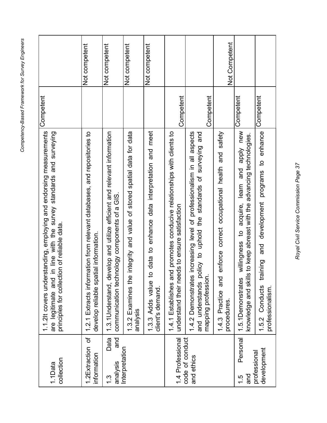| どうりょう こうこうこう<br>۱                      |  |
|----------------------------------------|--|
| į                                      |  |
| اسمسمهما<br>Ì                          |  |
| l hese H<br>)<br>)<br>S<br>ה מה הרבה ה |  |

| collection<br>1.1Data               | 1.1.2It covers understanding, employing and endorsing measurements<br>in line with the survey standards and surveying<br>principles for collection of reliable data.<br>are legitimate and | Competent |               |
|-------------------------------------|--------------------------------------------------------------------------------------------------------------------------------------------------------------------------------------------|-----------|---------------|
| 1.2Extraction of<br>information     | 1.2.1 Extracts information from relevant databases, and repositories to<br>develop reliable spatial information.                                                                           |           | Not competent |
| Data<br>and<br>analysis<br><u>რ</u> | 1.3.1 Understand, develop and utilize efficient and relevant information<br>communication technology components of a GIS.                                                                  |           | Not competent |
| Interpretation                      | integrity and value of stored spatial data for data<br>1.3.2 Examines the<br>analysis                                                                                                      |           | Not competent |
|                                     | data to enhance data interpretation and meet<br>1.3.3 Adds value to<br>client's demand.                                                                                                    |           | Not competent |
| 1.4 Professional                    | 1.4.1 Establishes and promotes conducive relationships with clients to<br>understand their needs to ensure satisfaction                                                                    | Competent |               |
| code of conduct<br>and ethics       | 1.4.2 Demonstrates increasing level of professionalism in all aspects<br>and<br>and understands policy to uphold the standards of surveying<br>mapping profession.                         |           |               |
|                                     | safety<br>enforce correct occupational health and<br>and<br>1.4.3 Practice<br>procedures.                                                                                                  | Competent | Not Competent |
| Personal<br>and<br>$\frac{1}{1}$    | apply new<br>knowledge and skills to keep abreast with the advancing technologies.<br>and<br>learn<br>acquire,<br>$\overline{5}$<br>willingness<br>1.5.1 Demonstrates                      | Competent |               |
| development<br>professional         | and development programs to enhance<br>1.5.2 Conducts training<br>professionalism.                                                                                                         | Competent |               |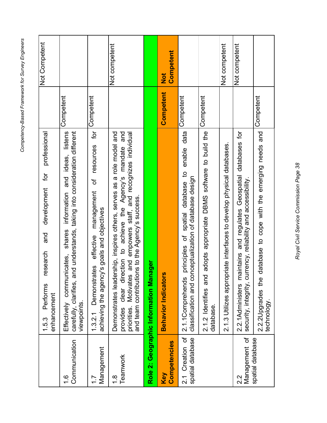| どうりょう こうこうこう<br>۱                      |  |
|----------------------------------------|--|
| į                                      |  |
| اسمسمهما<br>Ì                          |  |
| l hese H<br>)<br>)<br>S<br>ה מה הרבה ה |  |

|                                     | professional<br>for<br>development<br>and<br>research<br>Performs<br>enhancement<br>1.5.3                                                                                                                                                                                |           | Not Competent    |
|-------------------------------------|--------------------------------------------------------------------------------------------------------------------------------------------------------------------------------------------------------------------------------------------------------------------------|-----------|------------------|
| Communication<br>$\frac{6}{1}$      | carefully, clarifies, and understands, taking into consideration different<br>ideas, listens<br>information and<br>shares<br>communicates.<br>viewpoints.<br>Effectively                                                                                                 | Competent |                  |
| Management<br>$\bar{\mathbb{L}}$    | for<br>resources<br>ð<br>management<br>achieving the agency's goals and objectives<br>effective<br>Demonstrates<br>1.3.2.1                                                                                                                                               | Competent |                  |
| Teamwork<br>$\frac{8}{1}$           | Demonstrates leadership, inspires others, serves as a role model and<br>clear direction to achieve the Agency's mandate and<br>and empowers staff, and recognizes individual<br>ns to the Agency's success.<br>priorities. Motivates<br>and team contributio<br>provides |           | Not competent    |
|                                     | Role 2: Geographic Information Manager                                                                                                                                                                                                                                   |           |                  |
| Competencies<br>Key                 | <b>Behavior Indicators</b>                                                                                                                                                                                                                                               | Competent | Competent<br>Not |
| 2.1 Creation of<br>spatial database | enable data<br>$\mathbf{a}$<br>nceptualization of database design<br>principles of spatial database<br>classification and co<br>2.1.1Comprehends                                                                                                                         | Competent |                  |
|                                     | adopts appropriate DBMS software to build the<br>2.1.2 Identifies and<br>database.                                                                                                                                                                                       | Competent |                  |
|                                     | 2.1.3 Utilizes appropriate interfaces to develop physical databases.                                                                                                                                                                                                     |           | Not competent    |
| Management of<br>2.2                | 2.2.1Administers maintains and regulates Geospatial databases for<br>security, integrity, currency, reliability and accessibility.                                                                                                                                       |           | Not competent    |
| spatial database                    | database to cope with the emerging needs and<br>2.2.2 Upgrades the<br>technology                                                                                                                                                                                         | Competent |                  |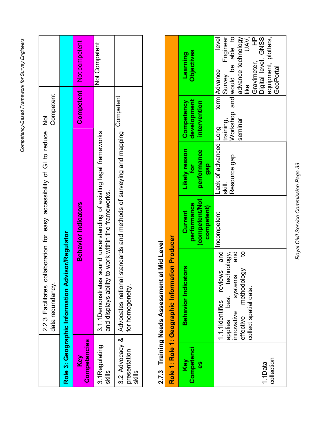| !                                    |  |
|--------------------------------------|--|
| Raced Framework for Sunrey Froincers |  |
| 2                                    |  |
| )<br>)<br>)<br>' וה מה הבים מה ה' ו  |  |
|                                      |  |

|                         | laboration for easy accessibility of GI to reduce Not<br>2.2.3 Facilitates coll<br>data redundancy.                        | Competent        |               |
|-------------------------|----------------------------------------------------------------------------------------------------------------------------|------------------|---------------|
|                         | Role 3: Geographic Information Advisor/Regulator                                                                           |                  |               |
| Competencies<br>Key     | <b>Behavior Indicators</b>                                                                                                 | <b>Competent</b> | Not competent |
| 3.1Regulating<br>skills | 3.1.1 Demonstrates sound understanding of existing legal frameworks<br>and displays ability to work within the frameworks. |                  | Not Competent |
| presentation<br>skills  | 3.2 Advocacy &   Advocates national standards and methods of surveying and mapping<br>for homogeneity.                     | Competent        |               |

## 2.7.3 Training Needs Assessment at Mid Level **2.7.3 Training Needs Assessment at Mid Level**

<span id="page-38-0"></span>

|                         | Role 1: Role 1: Geographic Information Producer                                                                                                              |                                                        |                                                 |                                           |                                                                                                                                                                                                                 |
|-------------------------|--------------------------------------------------------------------------------------------------------------------------------------------------------------|--------------------------------------------------------|-------------------------------------------------|-------------------------------------------|-----------------------------------------------------------------------------------------------------------------------------------------------------------------------------------------------------------------|
| Competenci<br>Key<br>89 | <b>Behavior Indicators</b>                                                                                                                                   | (competent/Not<br>performance<br>competent)<br>Current | Likely reason<br>performance<br>gap<br>for      | development<br>Competency<br>intervention | <b>Objectives</b><br>Learning                                                                                                                                                                                   |
| collection<br>1.1Data   | 1.1.1 Identifies reviews and<br>applies best technology,<br>and<br>$\overline{5}$<br>effective methodology<br>systems<br>collect spatial data.<br>innovative | Incompetent                                            | Lack of advanced Long<br>Resource gap<br>skill. | Workshop<br>training,<br>seminar          | UAV,<br>advance technology<br>Engineer<br>and would be able to<br>equipment, plotters,<br>level<br>Digital level, GNSS<br>$\overline{\mathbf{f}}$<br>Gravimeter,<br>GeoPortal<br>term Advance<br>Survey<br>iike |

Royal Civil Service Commission Page 39 *Royal Civil Service Commission Page 39*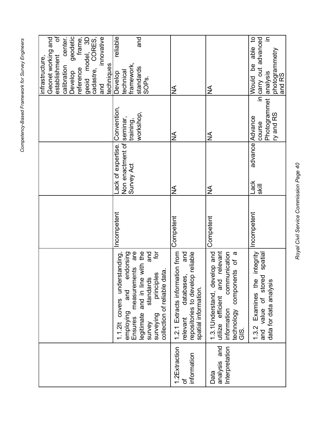| center.<br>Develop geodetic<br>reference frame,<br>geoid model, 3D<br>cadastre, CORES,<br>innovative<br>reliable<br>and<br>able to<br>in carry out advanced<br>으.<br>photogrammetry<br>and RS<br>ഉ<br>framework,<br>techniques<br>calibration<br>standards<br>technical<br>Develop<br>Would<br>SOP <sub>S</sub><br>and<br>$\frac{4}{2}$<br>$\frac{1}{2}$ | Photogrammet analysis<br>workshop,<br>ry and RS<br>advance Advance<br>training,<br>course<br>$\frac{4}{2}$<br>≨ | ack of expertise. Convention,<br>Non enactment of seminar<br>Survey Act<br>Lack<br>Skill<br>$\frac{1}{2}$<br>≨ | Incompetent<br>Incompetent<br>Competent<br>Competent | relevant<br>$\overline{5}$<br>communication<br>measurements are<br>legitimate and in line with the<br>and<br>integrity<br>1.2.1 Extracts information from<br>endorsing<br>and<br>1.3.1 Understand, develop and<br>$\boldsymbol{\varpi}$<br>repositories to develop reliable<br>spatial<br>1.1.2lt covers understanding<br>technology components of<br>surveying principles<br>collection of reliable data.<br>relevant databases,<br>and value of stored<br>standards<br>1.3.2 Examines the<br>utilize efficient and<br>data for data analysis<br>spatial information.<br>and<br>information<br>employing<br><b>Ensures</b><br>survey<br>$\frac{0}{2}$ | analysis and<br>Interpretation<br>1.2Extraction<br>information<br>Data<br>đ |
|----------------------------------------------------------------------------------------------------------------------------------------------------------------------------------------------------------------------------------------------------------------------------------------------------------------------------------------------------------|-----------------------------------------------------------------------------------------------------------------|----------------------------------------------------------------------------------------------------------------|------------------------------------------------------|--------------------------------------------------------------------------------------------------------------------------------------------------------------------------------------------------------------------------------------------------------------------------------------------------------------------------------------------------------------------------------------------------------------------------------------------------------------------------------------------------------------------------------------------------------------------------------------------------------------------------------------------------------|-----------------------------------------------------------------------------|
|                                                                                                                                                                                                                                                                                                                                                          |                                                                                                                 |                                                                                                                |                                                      |                                                                                                                                                                                                                                                                                                                                                                                                                                                                                                                                                                                                                                                        |                                                                             |
|                                                                                                                                                                                                                                                                                                                                                          |                                                                                                                 |                                                                                                                |                                                      |                                                                                                                                                                                                                                                                                                                                                                                                                                                                                                                                                                                                                                                        |                                                                             |
|                                                                                                                                                                                                                                                                                                                                                          |                                                                                                                 |                                                                                                                |                                                      |                                                                                                                                                                                                                                                                                                                                                                                                                                                                                                                                                                                                                                                        |                                                                             |
|                                                                                                                                                                                                                                                                                                                                                          |                                                                                                                 |                                                                                                                |                                                      |                                                                                                                                                                                                                                                                                                                                                                                                                                                                                                                                                                                                                                                        |                                                                             |
|                                                                                                                                                                                                                                                                                                                                                          |                                                                                                                 |                                                                                                                |                                                      |                                                                                                                                                                                                                                                                                                                                                                                                                                                                                                                                                                                                                                                        |                                                                             |
|                                                                                                                                                                                                                                                                                                                                                          |                                                                                                                 |                                                                                                                |                                                      |                                                                                                                                                                                                                                                                                                                                                                                                                                                                                                                                                                                                                                                        |                                                                             |
| Geonet working and<br>đ<br>establishment                                                                                                                                                                                                                                                                                                                 |                                                                                                                 |                                                                                                                |                                                      |                                                                                                                                                                                                                                                                                                                                                                                                                                                                                                                                                                                                                                                        |                                                                             |
| infrastructure,                                                                                                                                                                                                                                                                                                                                          |                                                                                                                 |                                                                                                                |                                                      |                                                                                                                                                                                                                                                                                                                                                                                                                                                                                                                                                                                                                                                        |                                                                             |

Royal Civil Service Commission Page 40 *Royal Civil Service Commission Page 40*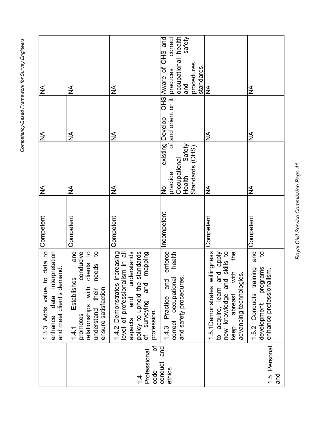|                                                        | data to<br>enhance data interpretation<br>and meet client's demand.<br>1.3.3 Adds value to                                                                                                          | Competent   | $\frac{4}{2}$                                                                                        | $\frac{1}{2}$              | NА                                                                                                             |
|--------------------------------------------------------|-----------------------------------------------------------------------------------------------------------------------------------------------------------------------------------------------------|-------------|------------------------------------------------------------------------------------------------------|----------------------------|----------------------------------------------------------------------------------------------------------------|
|                                                        | $\overline{c}$<br>and<br>conducive<br>$\mathbf{a}$<br>clients<br>needs<br>Establishes<br>relationships with<br>ensure satisfaction<br>their<br>understand<br>promotes<br>1.4.1                      | Competent   | ≸                                                                                                    | $\frac{1}{2}$              | ≨                                                                                                              |
| $\mathcal{P}$<br>Professional<br>code<br>$\frac{4}{4}$ | expressive and the standards<br>policy to uphold the standards<br>of surveying and mapping<br>1.4.2 Demonstrates increasing<br>level of professionalism in all<br>aspects and in all<br>profession. | Competent   | $\frac{1}{2}$                                                                                        | ≸                          | ≸                                                                                                              |
| and<br>conduct<br>ethics                               | enforce<br>health<br>correct occupational<br>and safety procedures<br>and<br>Practice<br>1.4.3                                                                                                      | Incompetent | existing Develop<br>Safety<br>Standards (OHS)<br>Occupational<br>practice<br>Health<br>$\frac{1}{2}$ | OHS<br>of and orient on it | OHS and<br>correct<br>occupational health<br>safety<br>procedures<br>Aware of<br>standards<br>practices<br>and |
|                                                        | 1.5.1 Demonstrates willingness<br>to acquire, learn and apply<br>new knowledge and skills to<br>the<br>with<br>advancing technologies.<br>new knowledge and<br>abreast<br>keep                      | Competent   | $\frac{1}{2}$                                                                                        | ≸                          | $\overline{\mathsf{M}}$                                                                                        |
| 1.5 Personal<br>and                                    | and<br>$\mathbf{S}$<br>programs<br>1.5.2 Conducts training<br>enhance professionalism.<br>development                                                                                               | Competent   | ≸                                                                                                    | ≨                          | ≸                                                                                                              |

Royal Civil Service Commission Page 41 *Royal Civil Service Commission Page 41*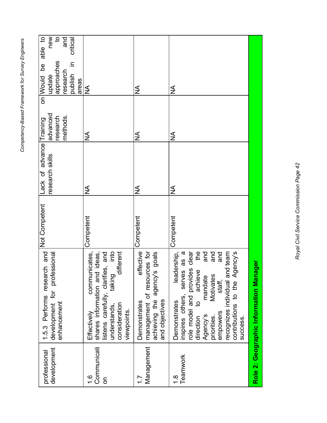| professional              | 1.5.3 Performs research and                                              | Not Competent | Lack of advance Training |                      | ഉ<br>on Would                | able to             |
|---------------------------|--------------------------------------------------------------------------|---------------|--------------------------|----------------------|------------------------------|---------------------|
| development               | development for professional<br>enhancement                              |               | research skills          | advanced<br>research | approaches<br>update         | new<br>$\mathbf{G}$ |
|                           |                                                                          |               |                          | methods.             | research                     | and                 |
|                           |                                                                          |               |                          |                      | $\equiv$<br>publish<br>areas | critical            |
| $\frac{6}{1}$             | communicates,<br>Effectively                                             | Competent     | ≸                        | ≸                    | $\frac{1}{2}$                |                     |
| Communicati<br>5          | listens carefully, clarifies, and<br>shares information and ideas,       |               |                          |                      |                              |                     |
|                           | into<br>different<br>taking<br>consideration<br>understands,             |               |                          |                      |                              |                     |
|                           | viewpoints                                                               |               |                          |                      |                              |                     |
|                           | effective<br>Demonstrates                                                | Competent     | ≨                        | $\frac{1}{2}$        | $\frac{1}{2}$                |                     |
| Management                | management of resources for                                              |               |                          |                      |                              |                     |
|                           | achieving the agency's goals<br>and objectives                           |               |                          |                      |                              |                     |
|                           |                                                                          |               |                          |                      |                              |                     |
| Teamwork<br>$\frac{8}{1}$ | $\sigma$<br>leadership,<br>serves as<br>inspires others,<br>Demonstrates | Competent     | ≸                        | ≨                    | ≸                            |                     |
|                           | role model and provides clear                                            |               |                          |                      |                              |                     |
|                           | the<br>achieve<br>$\overline{5}$<br>direction                            |               |                          |                      |                              |                     |
|                           | and<br>mandate<br>Agency's                                               |               |                          |                      |                              |                     |
|                           | and<br>Motivates<br>priorities.                                          |               |                          |                      |                              |                     |
|                           | and<br>staff,<br>empowers                                                |               |                          |                      |                              |                     |
|                           | recognizes individual and team<br>Agency's<br>contributions to the       |               |                          |                      |                              |                     |
|                           | success.                                                                 |               |                          |                      |                              |                     |
|                           | Role 2: Geographic Information Manager                                   |               |                          |                      |                              |                     |

> Royal Civil Service Commission Page 42 *Royal Civil Service Commission Page 42*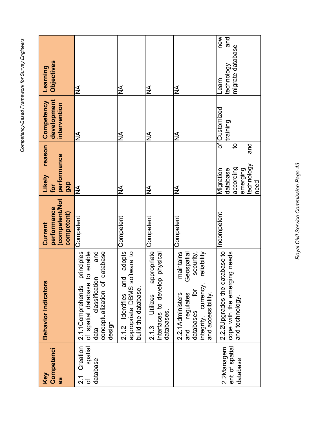| Competenci<br>Key<br>es                                 | <b>Behavior Indicators</b>                                                                                                                                | (competent/Not<br>performance<br>competent)<br>Current | reason<br>performance<br>Likely<br>gap<br>for                                    | development<br>Competency<br>intervention | Objectives<br>Learning                               |
|---------------------------------------------------------|-----------------------------------------------------------------------------------------------------------------------------------------------------------|--------------------------------------------------------|----------------------------------------------------------------------------------|-------------------------------------------|------------------------------------------------------|
| Creation<br>spatial<br>database<br>ب<br>2.i<br>$\sigma$ | database<br>principles<br>of spatial database to enable<br>and<br>classification<br>conceptualization of<br>2.1.1Comprehends<br>design<br>data            | Competent                                              | ≸                                                                                | ≨                                         | ≨                                                    |
|                                                         | adopts<br>appropriate DBMS software to<br>and<br>build the database.<br>2.1.2 Identifies                                                                  | Competent                                              | $\frac{1}{2}$                                                                    | ≸                                         | ≸                                                    |
|                                                         | appropriate<br>physical<br>interfaces to develop<br>Utilizes<br>databases.<br>2.1.3                                                                       | Competent                                              | $\frac{1}{2}$                                                                    | $\frac{1}{2}$                             | $\frac{\mathcal{L}}{\mathcal{L}}$                    |
|                                                         | maintains<br>security,<br>Geospatial<br>reliability<br>integrity, currency,<br>ð<br>and accessibility.<br>and regulates<br>2.2.1 Administers<br>databases | Competent                                              | ≸                                                                                | ≸                                         | ≨                                                    |
| ent of spatial<br>2.2Managem<br>database                | tabase to<br>cope with the emerging needs<br>2.2.2 Upgrades the dat<br>and technology                                                                     | ncompetent                                             | pue<br>đ<br>technology<br>according<br>emerging<br>database<br>Migration<br>need | of Customized<br>training                 | new<br>and<br>migrate database<br>technology<br>earn |

> Royal Civil Service Commission Page 43 *Royal Civil Service Commission Page 43*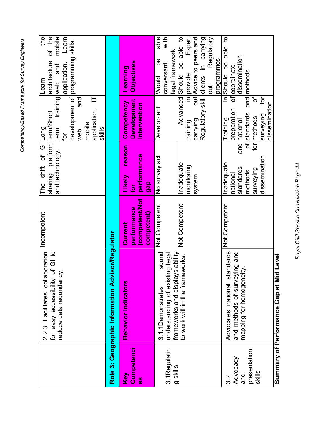|                                                               | collaboration<br>of GI to<br>reduce data redundancy.<br>for easy accessibility<br>2.2.3 Facilitates | Incompetent                                           | sharing platform term/Short<br>The shift of GIILong<br>and technology.      | <b>Due</b><br>application, IT<br>mobile<br>skills<br>term<br>web<br>tor                                        | mobile<br>the<br>Learn<br>of the<br>development of programming skills.<br>architecture<br>application.<br>training web and<br>Learn      |
|---------------------------------------------------------------|-----------------------------------------------------------------------------------------------------|-------------------------------------------------------|-----------------------------------------------------------------------------|----------------------------------------------------------------------------------------------------------------|------------------------------------------------------------------------------------------------------------------------------------------|
|                                                               | Role 3: Geographic Information Advisor/Regulator                                                    |                                                       |                                                                             |                                                                                                                |                                                                                                                                          |
| Competenci<br>Key<br>89                                       | <b>Behavior Indicators</b>                                                                          | competent/Not<br>performance<br>competent)<br>Current | reason<br>performance<br><b>Likely</b><br>gap<br>jot                        | Development<br>Competency<br>Intervention                                                                      | Objectives<br>Learning                                                                                                                   |
| 3.1Regulatin                                                  | sound<br>understanding of existing legal<br>3.1.1 Demonstrates                                      | Not Competent                                         | No survey act                                                               | Develop act                                                                                                    | able<br>with<br>legal framework<br><u>ზ</u><br>conversant<br>Would                                                                       |
| g skills                                                      | frameworks and displays ability<br>to work within the frameworks.                                   | Not Competent                                         | nadequate<br>monitoring<br>system                                           | Advanced Should<br>carrying<br>training                                                                        | be able to<br>Expert<br>out Advice to peers and<br>Regulatory skill clients in carrying<br>Regulatory<br>programmes<br>in provide<br>out |
| presentation<br>Advocacy<br>skills<br>and<br>$3.\overline{2}$ | standards<br>and methods of surveying and<br>mapping for homogeneity.<br>Advocates national         | Not Competent                                         | dissemination<br>nadequate<br>standards<br>surveying<br>methods<br>hational | ğ<br>đ<br>dissemination<br>preparation<br>of standards<br>surveying<br>for methods<br>Training<br>and national | $\mathbf{S}$<br>able<br>dissemination<br>in Should be<br>of coordinate<br>and methods                                                    |
|                                                               |                                                                                                     |                                                       |                                                                             |                                                                                                                |                                                                                                                                          |

Summary of Performance Gap at Mid Level **Summary of Performance Gap at Mid Level**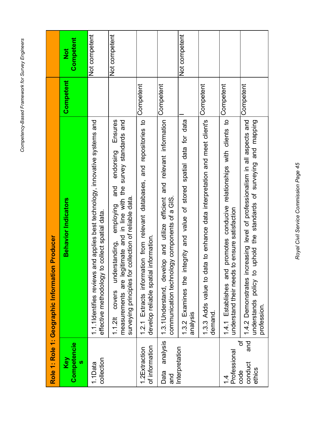|                                                     | Competent<br>$\frac{1}{2}$ | Not competent                                                                                                                        | Not competent                                                                                                                                                                                                      |                                                                                                                         |                                                                                                                                | Not competent                                                                      |                                                                                      |                                                                                                                               |                                                                                                                                                                    |
|-----------------------------------------------------|----------------------------|--------------------------------------------------------------------------------------------------------------------------------------|--------------------------------------------------------------------------------------------------------------------------------------------------------------------------------------------------------------------|-------------------------------------------------------------------------------------------------------------------------|--------------------------------------------------------------------------------------------------------------------------------|------------------------------------------------------------------------------------|--------------------------------------------------------------------------------------|-------------------------------------------------------------------------------------------------------------------------------|--------------------------------------------------------------------------------------------------------------------------------------------------------------------|
|                                                     | Competent                  |                                                                                                                                      |                                                                                                                                                                                                                    | Competent                                                                                                               | Competent                                                                                                                      |                                                                                    | Competent                                                                            | Competent                                                                                                                     | Competent                                                                                                                                                          |
| n Producer<br>Role 1: Role 1: Geographic Informatio | <b>Behavior Indicators</b> | and applies best technology, innovative systems and<br>o collect spatial data.<br>1.1.1 dentifies reviews<br>effective methodology t | Ensures<br>measurements are legitimate and in line with the survey standards and<br>endorsing<br>and<br>collection of reliable data<br>employing<br>understanding,<br>surveying privations<br>covers<br>$1.1.2$ lt | and repositories to<br>tion from relevant databases,<br>develop reliable spatial information.<br>1.2.1 Extracts informa | 1.3.1 Understand, develop and utilize efficient and relevant information<br>logy components of a GIS.<br>communication technol | 1.3.2 Examines the integrity and value of stored spatial data for data<br>analysis | 1.3.3 Adds value to data to enhance data interpretation and meet client's<br>demand. | promotes conducive relationships with clients to<br>to ensure satisfaction<br>1.4.1 Establishes and<br>understand their needs | 1.4.2 Demonstrates increasing level of professionalism in all aspects and<br>uphold the standards of surveying and mapping<br>understands policy to<br>profession. |
|                                                     | Competencie<br>Key<br>U)   | collection<br>1.1Data                                                                                                                |                                                                                                                                                                                                                    | of information<br>1.2Extraction                                                                                         | analysis<br>Data<br>and                                                                                                        | Interpretation                                                                     |                                                                                      | Professional<br>4.                                                                                                            | $\mathcal{P}$<br>and<br>conduct<br>ethics<br>code                                                                                                                  |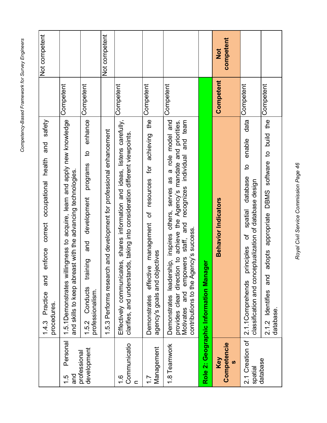|                                            | safety<br>and<br>occupational health<br>correct<br>enforce<br>and<br>Practice<br>procedures.<br>14.3                                                                                                                                                                    |           | Not competent           |
|--------------------------------------------|-------------------------------------------------------------------------------------------------------------------------------------------------------------------------------------------------------------------------------------------------------------------------|-----------|-------------------------|
| Personal<br>and<br>$1.\overline{5}$        | lingness to acquire, learn and apply new knowledge<br>and skills to keep abreast with the advancing technologies.<br>1.5.1 Demonstrates will                                                                                                                            | Competent |                         |
| development<br>professional                | enhance<br>$\overline{5}$<br>programs<br>development<br>and<br>ining<br>trai<br>Conducts<br>professionalism.<br>1.5.2                                                                                                                                                   | Competent |                         |
|                                            | 1.5.3 Performs research and development for professional enhancement                                                                                                                                                                                                    |           | Not competent           |
| Communicatio<br>$\frac{6}{1}$<br>$\subset$ | shares information and ideas, listens carefully,<br>clarifies, and understands, taking into consideration different viewpoints.<br>Effectively communicates,                                                                                                            | Competent |                         |
| Management<br>$\overline{1}$ .             | achieving the<br>effective management of resources for<br>agency's goals and objectives<br>Demonstrates                                                                                                                                                                 | Competent |                         |
| 1.8 Teamwork                               | Demonstrates leadership, inspires others, serves as a role model and<br>recognizes individual and team<br>provides clear direction to achieve the Agency's mandate and priorities.<br>staff, and<br>contributions to the Agency's success.<br>empowers<br>Motivates and | Competent |                         |
|                                            | Role 2: Geographic Information Manager                                                                                                                                                                                                                                  |           |                         |
| Competencie<br>Key<br><b>SD</b>            | <b>Behavior Indicators</b>                                                                                                                                                                                                                                              | Competent | competent<br><b>Not</b> |
| 2.1 Creation of<br>spatial                 | data<br>enable<br>$\mathbf{Q}$<br>database<br>classification and conceptualization of database design<br>spatial<br>ðf<br>principles<br>2.1.1Comprehends                                                                                                                | Competent |                         |
| database                                   | appropriate DBMS software to build the<br>adopts<br>and<br>2.1.2 Identifies<br>database.                                                                                                                                                                                | Competent |                         |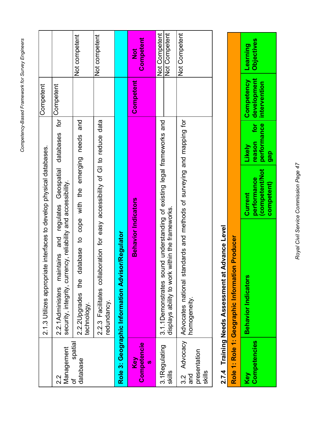|                                                                      |                                                                                                                                              | Not competent                                                                  | Not competent                                                                              |                                                  | Competent<br>$\frac{1}{2}$ | Not Competent<br>Not Competent                                                                                               | Not Competent                                                                                           |
|----------------------------------------------------------------------|----------------------------------------------------------------------------------------------------------------------------------------------|--------------------------------------------------------------------------------|--------------------------------------------------------------------------------------------|--------------------------------------------------|----------------------------|------------------------------------------------------------------------------------------------------------------------------|---------------------------------------------------------------------------------------------------------|
| Competent                                                            | Competent                                                                                                                                    |                                                                                |                                                                                            |                                                  | Competent                  |                                                                                                                              |                                                                                                         |
| 2.1.3 Utilizes appropriate interfaces to develop physical databases. | for<br>databases<br>regulates Geospatial<br>security, integrity, currency, reliability and accessibility.<br>2.2.1 Administers maintains and | 2.2.2 Upgrades the database to cope with the emerging needs and<br>technology. | 2.2.3 Facilitates collaboration for easy accessibility of GI to reduce data<br>redundancy. | Role 3: Geographic Information Advisor/Regulator | <b>Behavior Indicators</b> | 3.1.1 Demonstrates sound understanding of existing legal frameworks and<br>within the frameworks<br>displays ability to work | indards and methods of surveying and mapping for<br>3.2 Advocacy Advocates national sta<br>homogeneity. |
|                                                                      | Management<br>2.2                                                                                                                            | spatial<br>database<br>đ                                                       |                                                                                            |                                                  | Competencie<br>Key<br>ഗ    | 3.1Regulating<br>skills                                                                                                      | presentation<br>skills<br>and                                                                           |

## 2.7.4 Training Needs Assessment at Advance Level **2.7.4 Training Needs Assessment at Advance Level**

<span id="page-46-0"></span>

|                                                 | reason for development Objectives<br>Competency Learning                           |
|-------------------------------------------------|------------------------------------------------------------------------------------|
|                                                 | Likely<br>gap                                                                      |
|                                                 | competent/Not   performance   intervention<br>performance<br>competent)<br>Current |
| Role 1: Role 1: Geographic Information Producer | <b>Behavior Indicators</b>                                                         |
|                                                 | Competencies<br><b>Vey</b>                                                         |

Royal Civil Service Commission Page 47 *Royal Civil Service Commission Page 47*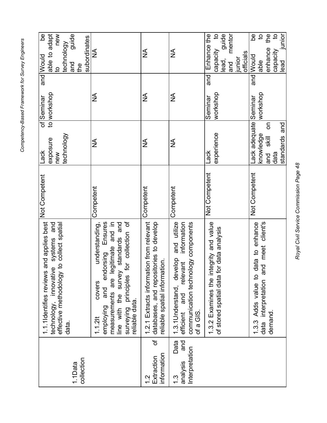| new<br>guide<br>able to adapt<br><u>ზ</u><br>subordinates<br>technology<br>and                                                         | ≸                                                                                                                                                                                                                             | ≸                                                                                                                   | $\frac{1}{2}$                                                                                                                               | $\overline{a}$<br>guide<br>Enhance the<br>mentor<br>capacity<br>officials<br>junior<br>lead,<br>pue | <u>be</u><br>$\overline{c}$<br>the<br>$\overline{c}$<br>junior<br>enhance<br>capacity<br>lead<br>j<br>able |
|----------------------------------------------------------------------------------------------------------------------------------------|-------------------------------------------------------------------------------------------------------------------------------------------------------------------------------------------------------------------------------|---------------------------------------------------------------------------------------------------------------------|---------------------------------------------------------------------------------------------------------------------------------------------|-----------------------------------------------------------------------------------------------------|------------------------------------------------------------------------------------------------------------|
| and Would<br>the<br>$\overline{a}$                                                                                                     |                                                                                                                                                                                                                               |                                                                                                                     |                                                                                                                                             | and                                                                                                 | and Would                                                                                                  |
| to workshop<br>of Seminar                                                                                                              | ≸                                                                                                                                                                                                                             | ≸                                                                                                                   | ≸                                                                                                                                           | workshop<br>Seminar                                                                                 | workshop                                                                                                   |
| technology<br>exposure<br>Lack<br>new                                                                                                  | $\frac{1}{2}$                                                                                                                                                                                                                 | ≨                                                                                                                   | $\frac{1}{2}$                                                                                                                               | experience<br>Lack                                                                                  | Lack adequate Seminar<br>and<br>S<br>knowledge<br>standards<br>l∥x<br>and<br>data                          |
| Not Competent                                                                                                                          | Competent                                                                                                                                                                                                                     | Competent                                                                                                           | Competent                                                                                                                                   | Not Competent                                                                                       | Not Competent                                                                                              |
| 1.1.1 dentifies reviews and applies best<br>and<br>effective methodology to collect spatial<br>technology, innovative systems<br>data. | for collection of<br>understanding,<br>endorsing Ensures<br>legitimate and in<br>line with the survey standards and<br>surveying principles<br>measurements are<br>covers<br>and<br>reliable data.<br>employing<br>$1.1.2$ lt | 1.2.1 Extracts information from relevant<br>databases, and repositories to develop<br>reliable spatial information. | and utilize<br>information<br>communication technology components<br>1.3.1 Understand, develop<br>relevant<br>and<br>efficient<br>of a GIS. | 1.3.2 Examines the integrity and value<br>for data analysis<br>of stored spatial data               | data interpretation and meet client's<br>data to enhance<br>Adds value to<br>demand<br>1.3.3               |
| collection<br>1.1Data                                                                                                                  |                                                                                                                                                                                                                               | đ<br>information<br>Extraction<br>$\frac{2}{1}$                                                                     | and<br>Data<br>Interpretation<br>analysis<br>$\frac{3}{2}$                                                                                  |                                                                                                     |                                                                                                            |

Royal Civil Service Commission Page 48 *Royal Civil Service Commission Page 48*

Competency-Based Framework for Survey Engineers *Competency-Based Framework for Survey Engineers*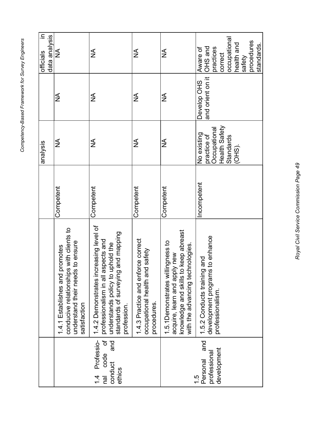|                                                                                         |                                                                                                                                                                                   |            | analysis                                                                          |                                 | ⊒.<br>data analysis<br>officials                                                                                |
|-----------------------------------------------------------------------------------------|-----------------------------------------------------------------------------------------------------------------------------------------------------------------------------------|------------|-----------------------------------------------------------------------------------|---------------------------------|-----------------------------------------------------------------------------------------------------------------|
|                                                                                         | ips with clients to<br>understand their needs to ensure<br>1.4.1 Establishes and promotes<br>conducive relationshi<br>satisfaction                                                | Competent  | ≸                                                                                 | ≨                               | $\frac{1}{2}$                                                                                                   |
| $\mathcal{P}$<br>Professio-<br>and<br>code<br>conduct<br>ethics<br>$\frac{4}{4}$<br>nal | ncreasing level of<br>guiddew pue 6<br>aspects and<br>uphold the<br>professionalism in all<br>understands policy to<br>standards of surveyin<br>1.4.2 Demonstrates<br>profession. | Competent  | ≸                                                                                 | ≸                               | ≸                                                                                                               |
|                                                                                         | 1.4.3 Practice and enforce correct<br>occupational health and safety<br>procedures.                                                                                               | Competent  | ≸                                                                                 | ≸                               | ≸                                                                                                               |
|                                                                                         | knowledge and skills to keep abreast<br>1.5.1Demonstrates willingness to<br>with the advancing technologies<br>acquire, learn and apply new                                       | Competent  | <b>AN</b>                                                                         | <b>AN</b>                       | $\frac{4}{2}$                                                                                                   |
| and<br>development<br>professional<br>Personal<br>1.5                                   | development programs to enhance<br>hg and<br>1.5.2 Conducts traini<br>professionalism                                                                                             | ncompetent | Health Safety<br>Occupational<br>No existing<br>practice of<br>Standards<br>(OHS) | and orient on it<br>Develop OHS | occupational<br>procedures<br>health and<br>safety<br>standards.<br>OHS and<br>practices<br>Aware of<br>correct |

Royal Civil Service Commission Page 49 *Royal Civil Service Commission Page 49*

Ī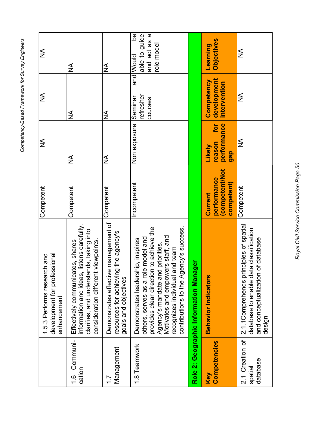|                                        | development for professional<br>1.5.3 Performs research and<br>enhancement                                                                                                                                                                                                      | Competent                                              | ≸                                             | ≸                                         | ≸                                                                   |
|----------------------------------------|---------------------------------------------------------------------------------------------------------------------------------------------------------------------------------------------------------------------------------------------------------------------------------|--------------------------------------------------------|-----------------------------------------------|-------------------------------------------|---------------------------------------------------------------------|
| 1.6 Communi-<br>cation                 | listens carefully,<br>nds, taking into<br>consideration different viewpoints<br>Effectively communicates, shares<br>clarifies, and understa<br>information and ideas,                                                                                                           | Competent                                              | $\frac{1}{2}$                                 | $\frac{1}{2}$                             | ≸                                                                   |
| Management<br>7.7                      | Demonstrates effective management of<br>resources for achieving the agency's<br>goals and objectives                                                                                                                                                                            | Competent                                              | ≨                                             | ≸                                         | ≨                                                                   |
| 1.8 Teamwork                           | others, serves as a role model and<br>provides clear direction to achieve the<br>Agency's mandate and priorities.<br>Motivates and empowers staff, and<br>ency's success.<br>hip, inspires<br>recognizes individual and team<br>contributions to the Ag<br>Demonstrates leaders | ncompetent                                             | Non exposure                                  | and<br>refresher<br>Seminar<br>courses    | <u>ഉ</u><br>able to guide<br>ā<br>and act as<br>role model<br>Would |
|                                        | <b>ger</b><br>Role 2: Geographic Information Mana                                                                                                                                                                                                                               |                                                        |                                               |                                           |                                                                     |
| Competencies<br>Key                    | <b>Behavior Indicators</b>                                                                                                                                                                                                                                                      | (competent/Not<br>performance<br>competent)<br>Current | for<br>performance<br>reason<br>Likely<br>gap | development<br>Competency<br>intervention | <b>Objectives</b><br><b>earning</b>                                 |
| 2.1 Creation of<br>database<br>spatial | 2.1.1Comprehends principles of spatial<br>database to enable data classification<br>of database<br>and conceptualization<br>design                                                                                                                                              | Competent                                              | ≸                                             | ≨                                         | ≸                                                                   |

> Royal Civil Service Commission Page 50 *Royal Civil Service Commission Page 50*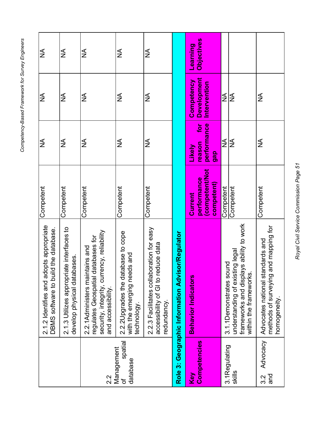|                                        | 2.1.2 Identifies and adopts appropriate<br>ild the database.<br>DBMS software to bui                                                                 | Competent                                                                         | ≨                                                 | ≨                                                | ≨                                    |
|----------------------------------------|------------------------------------------------------------------------------------------------------------------------------------------------------|-----------------------------------------------------------------------------------|---------------------------------------------------|--------------------------------------------------|--------------------------------------|
|                                        | iate interfaces to<br>bases.<br>2.1.3 Utilizes appropri<br>develop physical data                                                                     | Competent                                                                         | NИ                                                | <b>AN</b>                                        | ≸                                    |
| $2.\overline{2}$                       | rency, reliability<br>databases for<br>ntains and<br>security, integrity, curi<br>regulates Geospatial<br>2.2.1Administers mai<br>and accessibility. | Competent                                                                         | ≸                                                 | ≨                                                | ≨                                    |
| spatial<br>Management<br>database<br>đ | 2.2.2 Upgrades the database to cope<br>with the emerging needs and<br>technology.                                                                    | Competent                                                                         | ≸                                                 | ≸                                                | ≸                                    |
|                                        | boration for easy<br>accessibility of GI to reduce data<br>2.2.3 Facilitates collal<br>redundancy.                                                   | Competent                                                                         | ≨                                                 | ≨                                                | ≨                                    |
| Role 3:                                | <b>Geographic Information Advisor/Regulator</b>                                                                                                      |                                                                                   |                                                   |                                                  |                                      |
| Competencies<br>Key                    | <b>Behavior Indicators</b>                                                                                                                           | competent/Not<br>performance<br>$\mathop{\mathsf{competent}}\nolimits$<br>Current | ē<br>performance<br>reason<br>Likely<br><u>ap</u> | <b>Development</b><br>Competency<br>Intervention | <b>Objectives</b><br><b>Learning</b> |
| 3.1Regulating<br>skills                | frameworks and displays ability to work<br>understanding of existing legal<br>3.1.1 Demonstrates sound<br>within the frameworks                      | Competent<br>Competent                                                            | ≸<br>≨                                            | $\frac{1}{2}$<br>≨                               |                                      |
| Advocacy<br>pue<br>$3.\overline{2}$    | and mapping for<br>Advocates national standards and<br>methods of surveying<br>homogeneity                                                           | Competent                                                                         | ≸                                                 | $\frac{1}{2}$                                    |                                      |

Royal Civil Service Commission Page 51 *Royal Civil Service Commission Page 51*

Competency-Based Framework for Survey Engineers *Competency-Based Framework for Survey Engineers*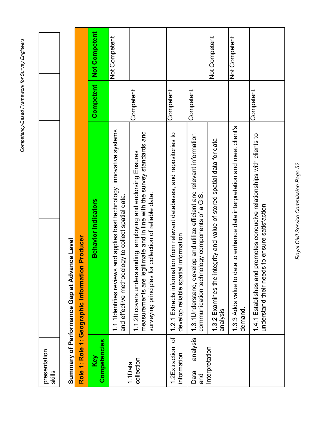## Summary of Performance Gap at Advance Level **Summary of Performance Gap at Advance Level**

|                                 | Producer<br>Role 1: Role 1: Geographic Information                                                                                                                                                         |           |               |
|---------------------------------|------------------------------------------------------------------------------------------------------------------------------------------------------------------------------------------------------------|-----------|---------------|
| Competencies<br>Key             | <b>Behavior Indicators</b>                                                                                                                                                                                 | Competent | Not Competent |
|                                 | and applies best technology, innovative systems<br>and effective methodology to collect spatial data.<br>1.1.1 dentifies reviews                                                                           |           | Not Competent |
| collection<br>1.1Data           | timate and in line with the survey standards and<br>nding, employing and endorsing Ensures<br>collection of reliable data.<br>surveying principles for<br>measurements are legi<br>1.1.2lt covers understa | Competent |               |
| 1.2Extraction of<br>information | 1.2.1 Extracts information from relevant databases, and repositories to<br>information.<br>develop reliable spatial                                                                                        | Competent |               |
| analysis<br>Data<br>and         | 1.3.1 Understand, develop and utilize efficient and relevant information<br>communication technology compents of a GIS.                                                                                    | Competent |               |
| Interpretation                  | 1.3.2 Examines the integrity and value of stored spatial data for data<br>analysis                                                                                                                         |           | Not Competent |
|                                 | 1.3.3 Adds value to data to enhance data interpretation and meet client's<br>demand.                                                                                                                       |           | Not Competent |
|                                 | 1.4.1 Establishes and promotes conducive relationships with clients to<br>to ensure satisfaction<br>understand their needs                                                                                 | Competent |               |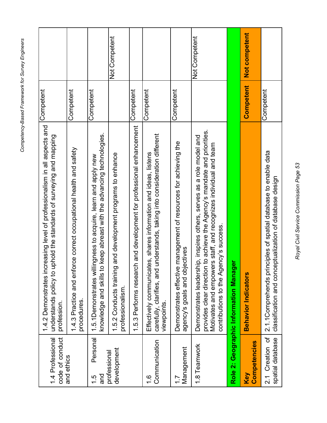| code of conduct<br>1.4 Professional | 1.4.2 Demonstrates increasing level of professionalism in all aspects and<br>understands policy to uphold the standards of surveying and mapping<br>profession.                                                                                               | Competent |               |
|-------------------------------------|---------------------------------------------------------------------------------------------------------------------------------------------------------------------------------------------------------------------------------------------------------------|-----------|---------------|
| and ethics                          | 1.4.3 Practice and enforce correct occupational health and safety<br>procedures.                                                                                                                                                                              | Competent |               |
| Personal<br>and<br>$\frac{1}{5}$    | knowledge and skills to keep abreast with the advancing technologies.<br>1.5.1 Demonstrates willingness to acquire, learn and apply new                                                                                                                       | Competent |               |
| development<br>professional         | and development programs to enhance<br>1.5.2 Conducts training<br>professionalism.                                                                                                                                                                            |           | Not Competent |
|                                     | 1.5.3 Performs research and development for professional enhancement                                                                                                                                                                                          | Competent |               |
| Communication<br>$\frac{6}{1}$      | understands, taking into consideration different<br>tes, shares information and ideas, listens<br>Effectively communicat<br>carefully, clarifies, and<br>viewpoints.                                                                                          | Competent |               |
| Management<br>$\dot{z}$             | management of resources for achieving the<br>agency's goals and objectives<br>Demonstrates effective                                                                                                                                                          | Competent |               |
| 1.8 Teamwork                        | provides clear direction to achieve the Agency's mandate and priorities.<br>Demonstrates leadership, inspires others, serves as a role model and<br>Motivates and empowers staff, and recognizes individual and team<br>contributions to the Agency's success |           | Not Competent |
|                                     | èΓ<br>Role 2: Geographic Information Manag                                                                                                                                                                                                                    |           |               |
| Competencies<br>Key                 | <b>Behavior Indicators</b>                                                                                                                                                                                                                                    | Competent | Not competent |
| 2.1 Creation of<br>spatial database | 2.1.1 Comprehends principles of spatial database to enable data<br>classification and conceptualization of database design                                                                                                                                    | Competent |               |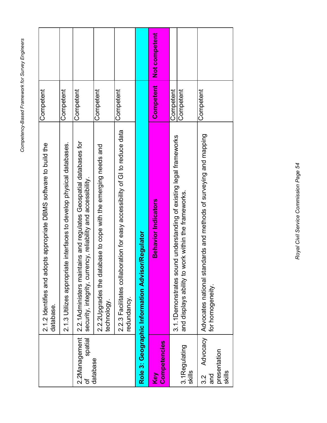|                                      | 2.1.2 Identifies and adopts appropriate DBMS software to build the<br>database.                                                    | Competent |               |
|--------------------------------------|------------------------------------------------------------------------------------------------------------------------------------|-----------|---------------|
|                                      | 2.1.3 Utilizes appropriate interfaces to develop physical databases.                                                               | Competent |               |
| 2.2Management<br>spatial<br>Ⴆ        | 2.2.1Administers maintains and regulates Geospatial databases for<br>security, integrity, currency, reliability and accessibility. | Competent |               |
| database                             | 2.2.2 Upgrades the database to cope with the emerging needs and<br>technology.                                                     | Competent |               |
|                                      | 2.2.3 Facilitates collaboration for easy accessibility of GI to reduce data<br>redundancy.                                         | Competent |               |
|                                      | Role 3: Geographic Information Advisor/Regulator                                                                                   |           |               |
| Competencies<br>Key                  | <b>Behavior Indicators</b>                                                                                                         | Competent | Not competent |
|                                      | 3.1.1 Demonstrates sound understanding of existing legal frameworks                                                                | Competent |               |
| 3.1Regulating<br>skills              | and displays ability to work within the frameworks.                                                                                | Competent |               |
| presentation<br>skills<br>and<br>3.2 | ndards and methods of surveying and mapping<br>Advocacy   Advocates national sta<br>for homogeneity                                | Competent |               |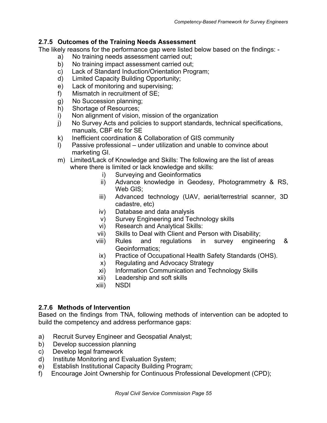## <span id="page-54-0"></span>**2.7.5 Outcomes of the Training Needs Assessment**

The likely reasons for the performance gap were listed below based on the findings: -

- a) No training needs assessment carried out;
- b) No training impact assessment carried out;
- c) Lack of Standard Induction/Orientation Program;
- d) Limited Capacity Building Opportunity;
- e) Lack of monitoring and supervising;
- f) Mismatch in recruitment of SE;
- g) No Succession planning;
- h) Shortage of Resources;
- i) Non alignment of vision, mission of the organization
- j) No Survey Acts and policies to support standards, technical specifications, manuals, CBF etc for SE
- k) Inefficient coordination & Collaboration of GIS community
- l) Passive professional under utilization and unable to convince about marketing GI.
- m) Limited/Lack of Knowledge and Skills: The following are the list of areas where there is limited or lack knowledge and skills:
	- i) Surveying and Geoinformatics
	- ii) Advance knowledge in Geodesy, Photogrammetry & RS, Web GIS;
	- iii) Advanced technology (UAV, aerial/terrestrial scanner, 3D cadastre, etc)
	- iv) Database and data analysis
	- v) Survey Engineering and Technology skills
	- vi) Research and Analytical Skills:
	- vii) Skills to Deal with Client and Person with Disability;
	- viii) Rules and regulations in survey engineering & Geoinformatics;
	- ix) Practice of Occupational Health Safety Standards (OHS).
	- x) Regulating and Advocacy Strategy
	- xi) Information Communication and Technology Skills
	- xii) Leadership and soft skills
	- xiii) NSDI

## <span id="page-54-1"></span>**2.7.6 Methods of Intervention**

Based on the findings from TNA, following methods of intervention can be adopted to build the competency and address performance gaps:

- a) Recruit Survey Engineer and Geospatial Analyst;
- b) Develop succession planning
- c) Develop legal framework
- d) Institute Monitoring and Evaluation System;
- e) Establish Institutional Capacity Building Program;
- f) Encourage Joint Ownership for Continuous Professional Development (CPD);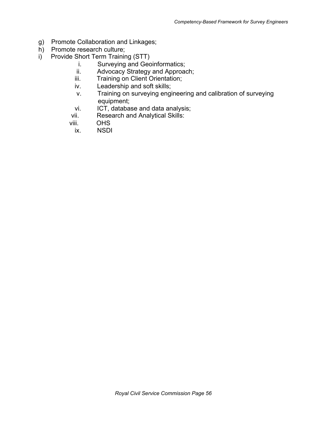- g) Promote Collaboration and Linkages;
- h) Promote research culture;
- i) Provide Short Term Training (STT)
	- i. Surveying and Geoinformatics;
	- ii. Advocacy Strategy and Approach;
	- iii. Training on Client Orientation;
	- iv. Leadership and soft skills;
	- v. Training on surveying engineering and calibration of surveying equipment;
	- vi. ICT, database and data analysis;<br>vii. Research and Analytical Skills:
	- Research and Analytical Skills:
	- viii. OHS
		- ix. NSDI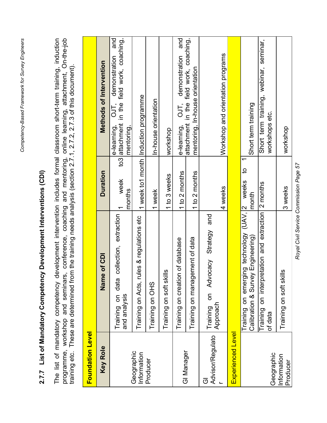## 2.7.7 List of Mandatory Competency Development Interventions (CDI) **2.7.7 List of Mandatory Competency Development Interventions (CDI)**

<span id="page-56-0"></span>The list of mandatory competency development intervention includes formal classroom short-term training, induction<br>programme, workshop and seminars, conference, coaching and mentoring, online learning, attachment, On-the-j The list of mandatory competency development intervention includes formal classroom short-term training, induction<br>programme, workshop and seminars, conference, coaching and mentoring, online learning, attachment, On-the-i programme, workshop and seminars, conference, coaching and mentoring, online learning, attachment, On-the-job training etc. These are determined from the training needs analysis (section 2.7.1, 2.7.2, 2.7.3 of this document).

| <b>Foundation Level</b>   |                                                                                   |                                  |                                                                                                          |
|---------------------------|-----------------------------------------------------------------------------------|----------------------------------|----------------------------------------------------------------------------------------------------------|
| <b>Key Role</b>           | of CDI<br>Name                                                                    | <b>Duration</b>                  | Methods of Intervention                                                                                  |
|                           | collection, extraction<br>Training on data<br>and analysis                        | week<br>months                   | and<br>to3 attachment in the field work, coaching,<br>demonstration<br>OJT,<br>e-learning,<br>mentoring, |
| Geographic<br>Information | Training on Acts, rules & regulations etc                                         |                                  | 1 week to1 month  Induction programme                                                                    |
| Producer                  | Training on OHS                                                                   | 1 week                           | In-house orientation                                                                                     |
|                           | $\overline{\mathbf{v}}$<br>Training on soft skil                                  | 1 to 3 weeks                     | workshop                                                                                                 |
| GI Manager                | Training on creation of database                                                  | 1 to 2 months                    | demonstration and<br>DJ.<br>O<br>e-learning,                                                             |
|                           | Training on management of data                                                    | 1 to 2 months                    | attachment in the field work, coaching,<br>mentoring, In-house orientation                               |
| Advisor/Regulato<br>ō     | and<br>Strategy<br>Training on Advocacy<br>Approach                               | 4 weeks                          | Workshop and orientation programs                                                                        |
| Experienced Level         |                                                                                   |                                  |                                                                                                          |
|                           | ing technology (UAV, 2<br>Calibration & Survey Engineering)<br>Training on emergi | $\overline{c}$<br>weeks<br>month | Short term training                                                                                      |
| Geographic                | Training on interpretation and extraction 2 months<br>of data                     |                                  | Short term training, webinar, seminar,<br>workshops etc.                                                 |
| Information<br>Producer   | $\frac{6}{1}$<br>Training on soft skil                                            | 3 weeks                          | workshop                                                                                                 |

Royal Civil Service Commission Page 57 *Royal Civil Service Commission Page 57*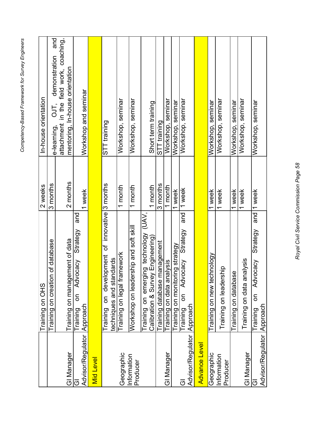| ì<br>֧֧֧֧֧֚֚֚֚֚֚֚֚֚֚֚֚֚֚֚֚֝֓֓֓֓֓֓֓֓֓ <b>֓</b> ֧֧֓֝֬<br>י<br>גיא<br>١<br>, |
|---------------------------------------------------------------------------|
| ì<br>֧֦֧֦֧֦֧֦֧֦֧֦֧֦֧֦֧֦֧֦֧֦֧֦֧֧֦֧֦֦֧֧֦֧֦֧֦֧֦֧֦֧֚֝֝֝֝֝֝֝֬֝֟֓֝֬֝֬֓֟֓֟֓֬֓֓֓  |
| i<br><u>יין והממ</u>                                                      |
| د<br>م<br>م<br>;                                                          |
|                                                                           |

|                                 | Training on OHS                                                               | 2 weeks     | In-house orientation                                                                                             |
|---------------------------------|-------------------------------------------------------------------------------|-------------|------------------------------------------------------------------------------------------------------------------|
|                                 | Training on creation of database                                              | 3 months    | e-learning,                                                                                                      |
| GI Manager                      | Training on management of data                                                | 2 months    | e-learning, OJT, demonstration and<br>attachment in the field work, coaching,<br>mentoring, In-house orientation |
| ෆ                               | and<br>Strategy<br>Advocacy<br>δ<br>Training                                  |             |                                                                                                                  |
| Advisor/Regulator   Approach    |                                                                               | 1 week      | Workshop and seminar                                                                                             |
| <b>Mid Level</b>                |                                                                               |             |                                                                                                                  |
|                                 | development of innovative 3 months<br>techniques and standards<br>Training on |             | STT training                                                                                                     |
| Geographic                      | Training on legal framework                                                   | 1 month     | Workshop, seminar                                                                                                |
| Information<br>Producer         | Workshop on leadership and soft skill                                         | 1 month     | Workshop, seminar                                                                                                |
|                                 | Training on emerging technology (UAV,<br>Calibration & Survey Engineering)    | 1 month     | Short term training                                                                                              |
|                                 | Training database management                                                  | 3 months    | STT training                                                                                                     |
| GI Manager                      | Training on data analysis                                                     | 1 month     | Workshop, seminar                                                                                                |
|                                 | Training on monitoring strategy                                               | 1 week      | Workshop, seminar                                                                                                |
| Advisor/Regulator Approach<br>ত | and<br>Strategy<br>Advocacy<br>δ<br>Training                                  | 1 week      | Workshop, seminar                                                                                                |
| Advance Level                   |                                                                               |             |                                                                                                                  |
| Geographic                      | Training on new technology                                                    | 1 week      | Workshop, seminar                                                                                                |
| Information<br>Producer         | Training on leadership                                                        | 1 week      | Workshop, seminar                                                                                                |
|                                 | Training on database                                                          | week        | Workshop, seminar                                                                                                |
| GI Manager                      | halysis<br>Training on data ar                                                | 1 week      | Workshop, seminar                                                                                                |
|                                 | Strategy<br>Advocacy<br>δ<br>Training                                         | and  1 week | Workshop, seminar                                                                                                |
| Advisor/Regulator Approach      |                                                                               |             |                                                                                                                  |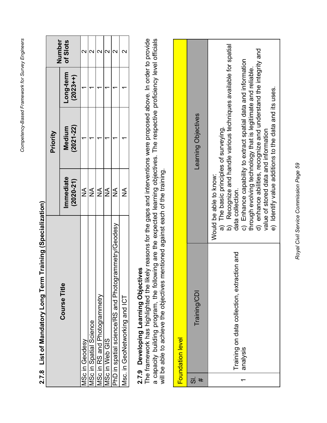<span id="page-58-0"></span>

| Training (Specialization)<br>2.7.8 List of Mandatory Long Term |                           |                         |                          |          |
|----------------------------------------------------------------|---------------------------|-------------------------|--------------------------|----------|
|                                                                |                           | Priority                |                          | Number   |
| <b>Course Title</b>                                            | mmediate<br>$(2020 - 21)$ | $(2021 - 22)$<br>Medium | -ong-term<br>$(2023 + )$ | of Slots |
| <b>ASc in Geodesy</b>                                          | ≸                         |                         |                          |          |
| <b>ASc in Spatial Science</b>                                  | $\sum_{i=1}^{n}$          |                         |                          |          |
| VISc in RS and Photogrammetry                                  | $\sum_{i=1}^{n}$          |                         |                          |          |
| <b>ASc in Web GIS</b>                                          | $\frac{1}{2}$             |                         |                          |          |
| rammetry/Geodesy<br>PhD in spatial science/RS and Photogr      | $\frac{1}{2}$             |                         |                          |          |
| Msc. in GeoNetworking and ICT                                  | $\frac{1}{2}$             |                         |                          |          |
|                                                                |                           |                         |                          |          |

# 2.7.8 List of Mandatory Long Term Training (Specialization)

## **2.7.9 Developing Learning Objectives**

<span id="page-58-1"></span>The framework has highlighted the likely reasons for the gaps and interventions were proposed above. In order to provide **2.7.9 Developing Learning Objectives**<br>The framework has highlighted the likely reasons for the gaps and interventions were proposed above. In order to provide<br>a capacity building program, the following are the expected le capacity building program, the following are the expected learning objectives. The respective proficiency level officials will be able to achieve the objectives mentioned against each of the training.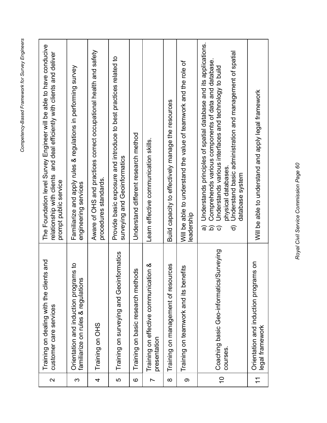| $\mathbf{\Omega}$ | nts and<br>Training on dealing with the clie<br>customer care services      | The Foundation level Survey Engineer will be able to have conducive<br>relationship with clients and deal efficiently with clients and deliver<br>prompt public service                                                                                                                                |
|-------------------|-----------------------------------------------------------------------------|--------------------------------------------------------------------------------------------------------------------------------------------------------------------------------------------------------------------------------------------------------------------------------------------------------|
| က                 | Orientation and induction programs to<br>familiarize on rules & regulations | Familiarize and apply rules & regulations in performing survey<br>engineering services                                                                                                                                                                                                                 |
| 4                 | Training on OHS                                                             | Aware of OHS and practices correct occupational health and safety<br>procedures standards.                                                                                                                                                                                                             |
| ပ                 | Training on surveying and Geoinformatics                                    | Provide basic exposure and introduce to best practices related to<br>surveying and Geoinformatics                                                                                                                                                                                                      |
| $\circ$           | ods<br>Training on basic research meth                                      | Understand different research method                                                                                                                                                                                                                                                                   |
| Ľ                 | Training on effective communication &<br>presentation                       | Learn effective communication skills.                                                                                                                                                                                                                                                                  |
| $\infty$          | Training on management of resources                                         | Build capacity to effectively manage the resources                                                                                                                                                                                                                                                     |
| $\circ$           | nefits<br>Training on teamwork and its be                                   | Will be able to understand the value of teamwork and the role of<br>eadership                                                                                                                                                                                                                          |
| $\overline{0}$    | Coaching basic Geo-informatics/Surveying<br>courses.                        | Understands principles of spatial database and its applications.<br>Understand basic administration and management of spatial<br>Comprehends various components of data and database.<br>Understands various interfaces and technology to build<br>physical databases.<br>database system<br>ଟି<br>ଚ୍ଚ |
| $\tilde{\tau}$    | Orientation and induction programs on<br>legal framework                    | Will be able to understand and apply legal framework                                                                                                                                                                                                                                                   |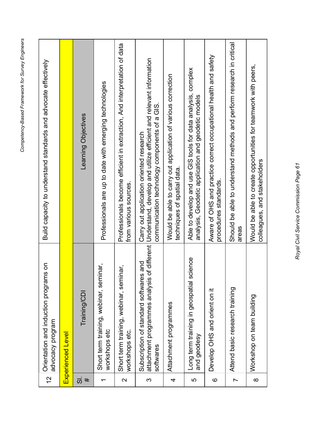| $\frac{2}{3}$                       | ms on<br>Orientation and induction progra<br>advocacy program | Build capacity to understand standards and advocate effectively                                                                                                                                              |
|-------------------------------------|---------------------------------------------------------------|--------------------------------------------------------------------------------------------------------------------------------------------------------------------------------------------------------------|
|                                     | Experienced Level                                             |                                                                                                                                                                                                              |
| $\overline{\overline{\omega}}$<br># | Training/CDI                                                  | Learning Objectives                                                                                                                                                                                          |
|                                     | Short term training, webinar, seminar,<br>workshops etc       | Professionals are up to date with emerging technologies                                                                                                                                                      |
| $\mathbf{\Omega}$                   | Short term training, webinar, seminar,<br>workshops etc.      | Professionals become efficient in extraction, And interpretation of data<br>from various sources.                                                                                                            |
| S                                   | Subscription of standard softwares and<br>softwares           | attachment programmes analysis of different   Understand, develop and utilize efficient and relevant information<br>communication technology components of a GIS.<br>Carry out application oriented research |
| 4                                   | Attachment programmes                                         | Would be able to carry out application of various correction<br>techniques of spatial data.                                                                                                                  |
| ပ                                   | science<br>Long term training in geospatial<br>and geodesy    | Able to develop and use GIS tools for data analysis, complex<br>analysis, Geodetic application and geodetic models                                                                                           |
| $\circ$                             | Develop OHS and orient on it                                  | Aware of OHS and practice correct occupational health and safety<br>procedures standards.                                                                                                                    |
| $\overline{ }$                      | Attend basic research training                                | Should be able to understand methods and perform research in critical<br>areas                                                                                                                               |
| $\infty$                            | Workshop on team building                                     | Would be able to create opportunities for teamwork with peers,<br>colleagues, and stakeholders                                                                                                               |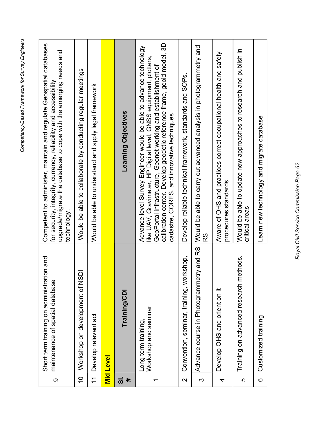| တ                       | Short term training on administration and<br>maintenance of spatial database | Competent to administer, maintain and regulate Geospatial databases<br>upgrade/migrate the database to cope with the emerging needs and<br>for security, integrity, currency, reliability and accessibility<br>technology                                                                                                      |
|-------------------------|------------------------------------------------------------------------------|--------------------------------------------------------------------------------------------------------------------------------------------------------------------------------------------------------------------------------------------------------------------------------------------------------------------------------|
| $\overline{0}$          | Workshop on development of NSDI                                              | Would be able to collaborate by conducting regular meetings                                                                                                                                                                                                                                                                    |
| $\overline{\tau}$       | Develop relevant act                                                         | Would be able to understand and apply legal framework                                                                                                                                                                                                                                                                          |
|                         | <b>Mid Level</b>                                                             |                                                                                                                                                                                                                                                                                                                                |
| <u>ຜ</u> ່<br>#         | Training/CDI                                                                 | Learning Objectives                                                                                                                                                                                                                                                                                                            |
| ᠇                       | Workshop and seminar<br>Long term training,                                  | calibration center. Develop geodetic reference frame, geoid model, 3D<br>Advance level Survey Engineer would be able to advance technology<br>like UAV, Gravimeter, HP Digital level, GNSS equipment, plotters,<br>GeoPortal infrastructure, Geonet working and establishment of<br>cadastre, CORES, and innovative techniques |
| $\overline{\mathsf{C}}$ | Convention, seminar, training, workshop,                                     | Develop reliable technical framework, standards and SOPs.                                                                                                                                                                                                                                                                      |
| က                       | Advance course in Photogrammetry and RS                                      | Would be able to carry out advanced analysis in photogrammetry and<br>S<br>R                                                                                                                                                                                                                                                   |
| 4                       | Develop OHS and orient on it                                                 | Aware of OHS and practices correct occupational health and safety<br>procedures standards.                                                                                                                                                                                                                                     |
| 5                       | Training on advanced research methods.                                       | Would be able to update new approaches to research and publish in<br>critical areas                                                                                                                                                                                                                                            |
| $\circ$                 | Customized training                                                          | Learn new technology and migrate database                                                                                                                                                                                                                                                                                      |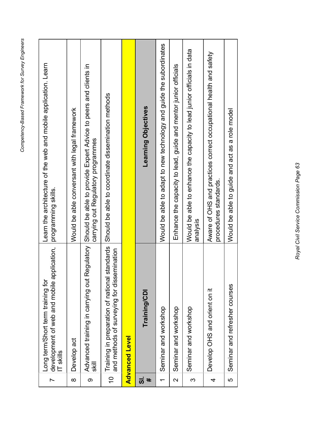| $\overline{ }$           | development of web and mobile application,<br>Long term/Short term training for<br>IT skills | Learn the architecture of the web and mobile application. Learn<br>programming skills.                           |
|--------------------------|----------------------------------------------------------------------------------------------|------------------------------------------------------------------------------------------------------------------|
| $\infty$                 | Develop act                                                                                  | Would be able conversant with legal framework                                                                    |
| တ                        | Advanced training in carrying out<br>≣s                                                      | Regulatory Should be able to provide Expert Advice to peers and clients in<br>carrying out Regulatory programmes |
| $\overline{0}$           | Training in preparation of national standards<br>and methods of surveying for dissemination  | Should be able to coordinate dissemination methods                                                               |
|                          | <b>Advanced Level</b>                                                                        |                                                                                                                  |
| <u>ಸ</u><br>#            | Training/CDI                                                                                 | <b>Learning Objectives</b>                                                                                       |
| $\overline{\phantom{0}}$ | Seminar and workshop                                                                         | Would be able to adapt to new technology and guide the subordinates                                              |
| 2                        | Seminar and workshop                                                                         | Enhance the capacity to lead, guide and mentor junior officials                                                  |
| S                        | Seminar and workshop                                                                         | Would be able to enhance the capacity to lead junior officials in data<br>analysis                               |
| 4                        | Develop OHS and orient on it                                                                 | Aware of OHS and practices correct occupational health and safety<br>procedures standards.                       |
| 5                        | Seminar and refresher courses                                                                | Would be able to guide and act as a role model                                                                   |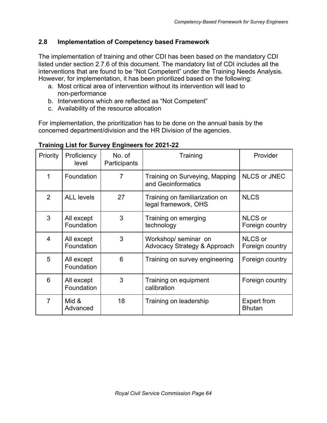## <span id="page-63-0"></span>**2.8 Implementation of Competency based Framework**

The implementation of training and other CDI has been based on the mandatory CDI listed under section 2.7.6 of this document. The mandatory list of CDI includes all the interventions that are found to be "Not Competent" under the Training Needs Analysis. However, for implementation, it has been prioritized based on the following:

- a. Most critical area of intervention without its intervention will lead to non-performance
- b. Interventions which are reflected as "Not Competent"
- c. Availability of the resource allocation

For implementation, the prioritization has to be done on the annual basis by the concerned department/division and the HR Division of the agencies.

| Priority       | Proficiency<br>level     | No. of<br>Participants | Training                                               | Provider                            |
|----------------|--------------------------|------------------------|--------------------------------------------------------|-------------------------------------|
| 1              | Foundation               | $\overline{7}$         | Training on Surveying, Mapping<br>and Geoinformatics   | <b>NLCS or JNEC</b>                 |
| $\overline{2}$ | <b>ALL levels</b>        | 27                     | Training on familiarization on<br>legal framework, OHS | <b>NLCS</b>                         |
| 3              | All except<br>Foundation | 3                      | Training on emerging<br>technology                     | NLCS or<br>Foreign country          |
| 4              | All except<br>Foundation | 3                      | Workshop/seminar on<br>Advocacy Strategy & Approach    | NLCS or<br>Foreign country          |
| 5              | All except<br>Foundation | 6                      | Training on survey engineering                         | Foreign country                     |
| 6              | All except<br>Foundation | 3                      | Training on equipment<br>calibration                   | Foreign country                     |
| $\overline{7}$ | Mid &<br>Advanced        | 18                     | Training on leadership                                 | <b>Expert from</b><br><b>Bhutan</b> |

## **Training List for Survey Engineers for 2021-22**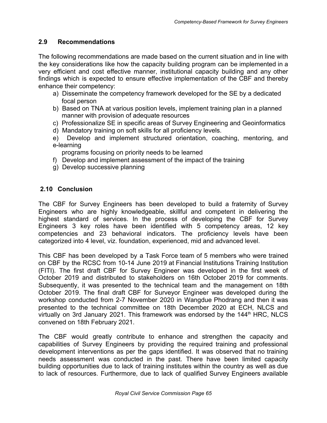## <span id="page-64-0"></span>**2.9 Recommendations**

The following recommendations are made based on the current situation and in line with the key considerations like how the capacity building program can be implemented in a very efficient and cost effective manner, institutional capacity building and any other findings which is expected to ensure effective implementation of the CBF and thereby enhance their competency:

- a) Disseminate the competency framework developed for the SE by a dedicated focal person
- b) Based on TNA at various position levels, implement training plan in a planned manner with provision of adequate resources
- c) Professionalize SE in specific areas of Survey Engineering and Geoinformatics
- d) Mandatory training on soft skills for all proficiency levels.
- e) Develop and implement structured orientation, coaching, mentoring, and e-learning

programs focusing on priority needs to be learned

- f) Develop and implement assessment of the impact of the training
- g) Develop successive planning

## <span id="page-64-1"></span> **2.10 Conclusion**

The CBF for Survey Engineers has been developed to build a fraternity of Survey Engineers who are highly knowledgeable, skillful and competent in delivering the highest standard of services. In the process of developing the CBF for Survey Engineers 3 key roles have been identified with 5 competency areas, 12 key competencies and 23 behavioral indicators. The proficiency levels have been categorized into 4 level, viz. foundation, experienced, mid and advanced level.

This CBF has been developed by a Task Force team of 5 members who were trained on CBF by the RCSC from 10-14 June 2019 at Financial Institutions Training Institution (FITI). The first draft CBF for Survey Engineer was developed in the first week of October 2019 and distributed to stakeholders on 16th October 2019 for comments. Subsequently, it was presented to the technical team and the management on 18th October 2019. The final draft CBF for Surveyor Engineer was developed during the workshop conducted from 2-7 November 2020 in Wangdue Phodrang and then it was presented to the technical committee on 18th December 2020 at ECH, NLCS and virtually on 3rd January 2021. This framework was endorsed by the 144<sup>th</sup> HRC, NLCS convened on 18th February 2021.

The CBF would greatly contribute to enhance and strengthen the capacity and capabilities of Survey Engineers by providing the required training and professional development interventions as per the gaps identified. It was observed that no training needs assessment was conducted in the past. There have been limited capacity building opportunities due to lack of training institutes within the country as well as due to lack of resources. Furthermore, due to lack of qualified Survey Engineers available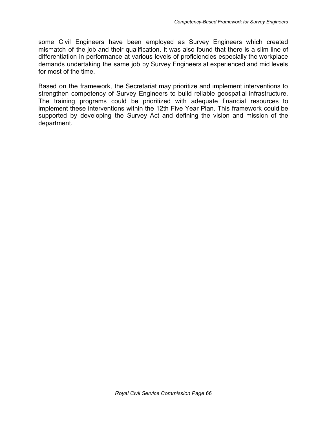some Civil Engineers have been employed as Survey Engineers which created mismatch of the job and their qualification. It was also found that there is a slim line of differentiation in performance at various levels of proficiencies especially the workplace demands undertaking the same job by Survey Engineers at experienced and mid levels for most of the time.

Based on the framework, the Secretariat may prioritize and implement interventions to strengthen competency of Survey Engineers to build reliable geospatial infrastructure. The training programs could be prioritized with adequate financial resources to implement these interventions within the 12th Five Year Plan. This framework could be supported by developing the Survey Act and defining the vision and mission of the department.